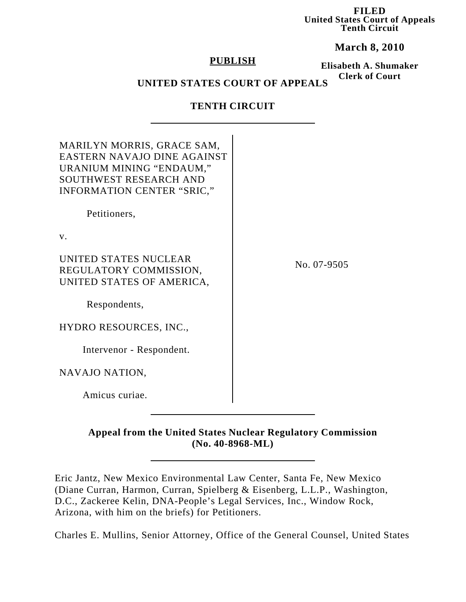**FILED United States Court of Appeals Tenth Circuit**

**March 8, 2010**

#### **PUBLISH**

**Elisabeth A. Shumaker Clerk of Court**

# **UNITED STATES COURT OF APPEALS**

## **TENTH CIRCUIT**

| MARILYN MORRIS, GRACE SAM,<br>EASTERN NAVAJO DINE AGAINST<br>URANIUM MINING "ENDAUM,"<br><b>SOUTHWEST RESEARCH AND</b><br>INFORMATION CENTER "SRIC," |             |
|------------------------------------------------------------------------------------------------------------------------------------------------------|-------------|
| Petitioners,                                                                                                                                         |             |
| $V_{\cdot}$                                                                                                                                          |             |
| UNITED STATES NUCLEAR<br>REGULATORY COMMISSION,<br>UNITED STATES OF AMERICA,                                                                         | No. 07-9505 |
| Respondents,                                                                                                                                         |             |
| HYDRO RESOURCES, INC.,                                                                                                                               |             |
| Intervenor - Respondent.                                                                                                                             |             |
| NAVAJO NATION,                                                                                                                                       |             |
| Amicus curiae.                                                                                                                                       |             |

**Appeal from the United States Nuclear Regulatory Commission (No. 40-8968-ML)**

Eric Jantz, New Mexico Environmental Law Center, Santa Fe, New Mexico (Diane Curran, Harmon, Curran, Spielberg & Eisenberg, L.L.P., Washington, D.C., Zackeree Kelin, DNA-People's Legal Services, Inc., Window Rock, Arizona, with him on the briefs) for Petitioners.

Charles E. Mullins, Senior Attorney, Office of the General Counsel, United States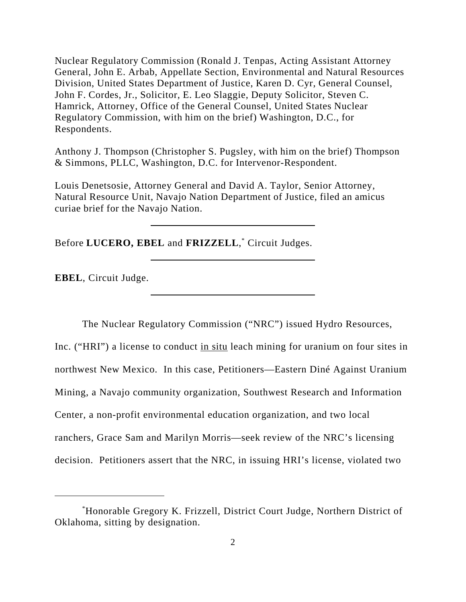Nuclear Regulatory Commission (Ronald J. Tenpas, Acting Assistant Attorney General, John E. Arbab, Appellate Section, Environmental and Natural Resources Division, United States Department of Justice, Karen D. Cyr, General Counsel, John F. Cordes, Jr., Solicitor, E. Leo Slaggie, Deputy Solicitor, Steven C. Hamrick, Attorney, Office of the General Counsel, United States Nuclear Regulatory Commission, with him on the brief) Washington, D.C., for Respondents.

Anthony J. Thompson (Christopher S. Pugsley, with him on the brief) Thompson & Simmons, PLLC, Washington, D.C. for Intervenor-Respondent.

Louis Denetsosie, Attorney General and David A. Taylor, Senior Attorney, Natural Resource Unit, Navajo Nation Department of Justice, filed an amicus curiae brief for the Navajo Nation.

Before **LUCERO, EBEL** and **FRIZZELL**, \* Circuit Judges.

**EBEL**, Circuit Judge.

The Nuclear Regulatory Commission ("NRC") issued Hydro Resources,

Inc. ("HRI") a license to conduct in situ leach mining for uranium on four sites in northwest New Mexico. In this case, Petitioners—Eastern Diné Against Uranium Mining, a Navajo community organization, Southwest Research and Information Center, a non-profit environmental education organization, and two local ranchers, Grace Sam and Marilyn Morris—seek review of the NRC's licensing decision. Petitioners assert that the NRC, in issuing HRI's license, violated two

<sup>\*</sup> Honorable Gregory K. Frizzell, District Court Judge, Northern District of Oklahoma, sitting by designation.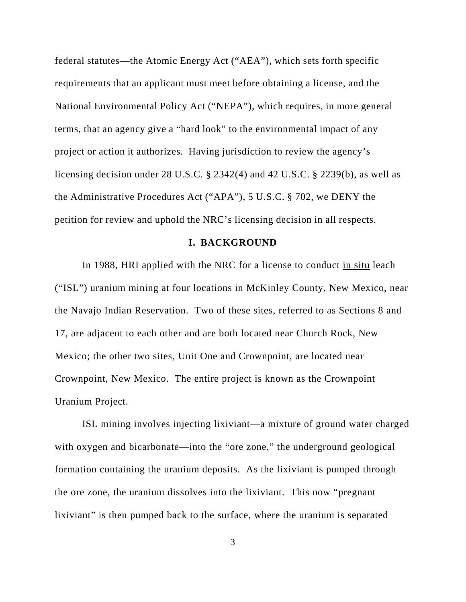federal statutes—the Atomic Energy Act ("AEA"), which sets forth specific requirements that an applicant must meet before obtaining a license, and the National Environmental Policy Act ("NEPA"), which requires, in more general terms, that an agency give a "hard look" to the environmental impact of any project or action it authorizes. Having jurisdiction to review the agency's licensing decision under 28 U.S.C. § 2342(4) and 42 U.S.C. § 2239(b), as well as the Administrative Procedures Act ("APA"), 5 U.S.C. § 702, we DENY the petition for review and uphold the NRC's licensing decision in all respects.

#### **I. BACKGROUND**

In 1988, HRI applied with the NRC for a license to conduct in situ leach ("ISL") uranium mining at four locations in McKinley County, New Mexico, near the Navajo Indian Reservation. Two of these sites, referred to as Sections 8 and 17, are adjacent to each other and are both located near Church Rock, New Mexico; the other two sites, Unit One and Crownpoint, are located near Crownpoint, New Mexico. The entire project is known as the Crownpoint Uranium Project.

ISL mining involves injecting lixiviant—a mixture of ground water charged with oxygen and bicarbonate—into the "ore zone," the underground geological formation containing the uranium deposits. As the lixiviant is pumped through the ore zone, the uranium dissolves into the lixiviant. This now "pregnant lixiviant" is then pumped back to the surface, where the uranium is separated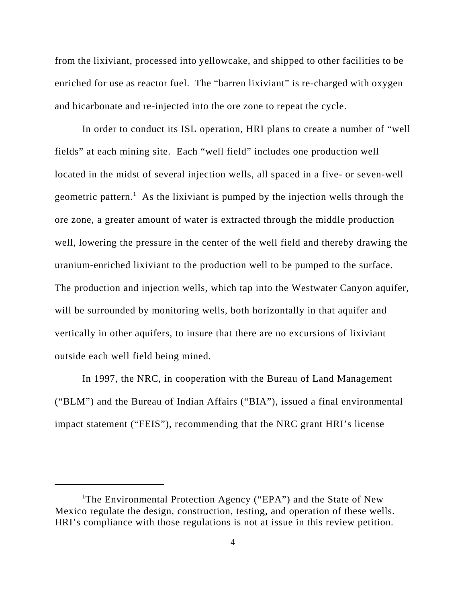from the lixiviant, processed into yellowcake, and shipped to other facilities to be enriched for use as reactor fuel. The "barren lixiviant" is re-charged with oxygen and bicarbonate and re-injected into the ore zone to repeat the cycle.

In order to conduct its ISL operation, HRI plans to create a number of "well fields" at each mining site. Each "well field" includes one production well located in the midst of several injection wells, all spaced in a five- or seven-well geometric pattern.<sup>1</sup> As the lixiviant is pumped by the injection wells through the ore zone, a greater amount of water is extracted through the middle production well, lowering the pressure in the center of the well field and thereby drawing the uranium-enriched lixiviant to the production well to be pumped to the surface. The production and injection wells, which tap into the Westwater Canyon aquifer, will be surrounded by monitoring wells, both horizontally in that aquifer and vertically in other aquifers, to insure that there are no excursions of lixiviant outside each well field being mined.

In 1997, the NRC, in cooperation with the Bureau of Land Management ("BLM") and the Bureau of Indian Affairs ("BIA"), issued a final environmental impact statement ("FEIS"), recommending that the NRC grant HRI's license

<sup>&</sup>lt;sup>1</sup>The Environmental Protection Agency ("EPA") and the State of New Mexico regulate the design, construction, testing, and operation of these wells. HRI's compliance with those regulations is not at issue in this review petition.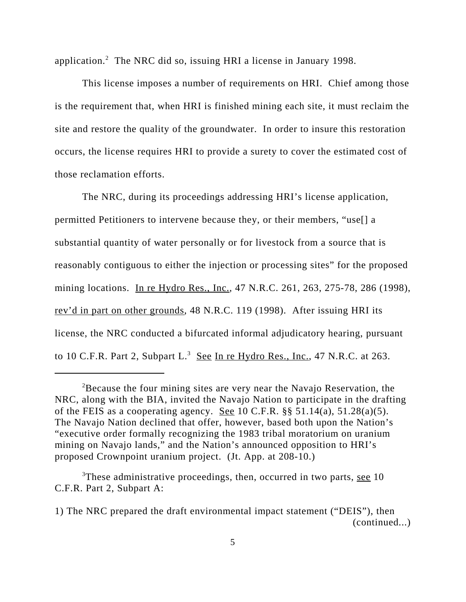application.<sup>2</sup> The NRC did so, issuing HRI a license in January 1998.

This license imposes a number of requirements on HRI. Chief among those is the requirement that, when HRI is finished mining each site, it must reclaim the site and restore the quality of the groundwater. In order to insure this restoration occurs, the license requires HRI to provide a surety to cover the estimated cost of those reclamation efforts.

The NRC, during its proceedings addressing HRI's license application, permitted Petitioners to intervene because they, or their members, "use[] a substantial quantity of water personally or for livestock from a source that is reasonably contiguous to either the injection or processing sites" for the proposed mining locations. In re Hydro Res., Inc., 47 N.R.C. 261, 263, 275-78, 286 (1998), rev'd in part on other grounds, 48 N.R.C. 119 (1998). After issuing HRI its license, the NRC conducted a bifurcated informal adjudicatory hearing, pursuant to 10 C.F.R. Part 2, Subpart L.<sup>3</sup> See In re Hydro Res., Inc., 47 N.R.C. at 263.

<sup>&</sup>lt;sup>2</sup>Because the four mining sites are very near the Navajo Reservation, the NRC, along with the BIA, invited the Navajo Nation to participate in the drafting of the FEIS as a cooperating agency. See 10 C.F.R.  $\S$ § 51.14(a), 51.28(a)(5). The Navajo Nation declined that offer, however, based both upon the Nation's "executive order formally recognizing the 1983 tribal moratorium on uranium mining on Navajo lands," and the Nation's announced opposition to HRI's proposed Crownpoint uranium project. (Jt. App. at 208-10.)

<sup>&</sup>lt;sup>3</sup>These administrative proceedings, then, occurred in two parts, see 10 C.F.R. Part 2, Subpart A:

<sup>1)</sup> The NRC prepared the draft environmental impact statement ("DEIS"), then (continued...)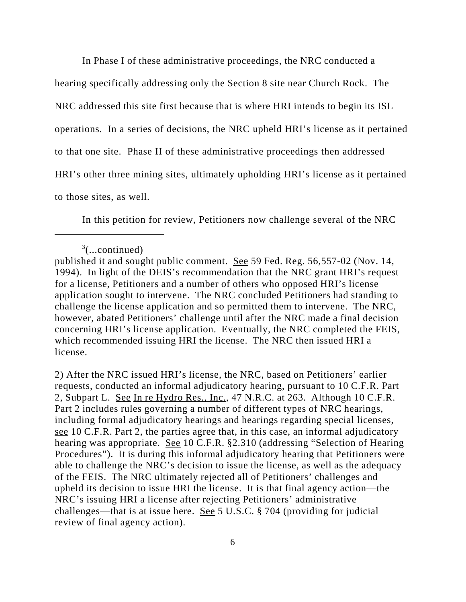In Phase I of these administrative proceedings, the NRC conducted a

hearing specifically addressing only the Section 8 site near Church Rock. The NRC addressed this site first because that is where HRI intends to begin its ISL operations. In a series of decisions, the NRC upheld HRI's license as it pertained to that one site. Phase II of these administrative proceedings then addressed HRI's other three mining sites, ultimately upholding HRI's license as it pertained to those sites, as well.

In this petition for review, Petitioners now challenge several of the NRC

2) After the NRC issued HRI's license, the NRC, based on Petitioners' earlier requests, conducted an informal adjudicatory hearing, pursuant to 10 C.F.R. Part 2, Subpart L. See In re Hydro Res., Inc., 47 N.R.C. at 263. Although 10 C.F.R. Part 2 includes rules governing a number of different types of NRC hearings, including formal adjudicatory hearings and hearings regarding special licenses, see 10 C.F.R. Part 2, the parties agree that, in this case, an informal adjudicatory hearing was appropriate. See 10 C.F.R. §2.310 (addressing "Selection of Hearing Procedures"). It is during this informal adjudicatory hearing that Petitioners were able to challenge the NRC's decision to issue the license, as well as the adequacy of the FEIS. The NRC ultimately rejected all of Petitioners' challenges and upheld its decision to issue HRI the license. It is that final agency action—the NRC's issuing HRI a license after rejecting Petitioners' administrative challenges—that is at issue here. See 5 U.S.C. § 704 (providing for judicial review of final agency action).

 $3$ (...continued)

published it and sought public comment. See 59 Fed. Reg. 56,557-02 (Nov. 14, 1994). In light of the DEIS's recommendation that the NRC grant HRI's request for a license, Petitioners and a number of others who opposed HRI's license application sought to intervene. The NRC concluded Petitioners had standing to challenge the license application and so permitted them to intervene. The NRC, however, abated Petitioners' challenge until after the NRC made a final decision concerning HRI's license application. Eventually, the NRC completed the FEIS, which recommended issuing HRI the license. The NRC then issued HRI a license.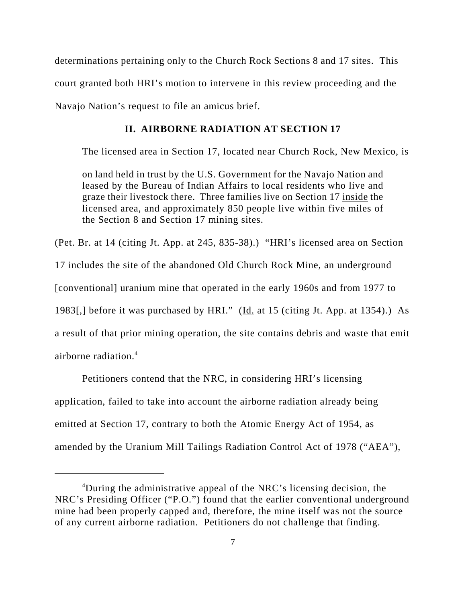determinations pertaining only to the Church Rock Sections 8 and 17 sites. This court granted both HRI's motion to intervene in this review proceeding and the Navajo Nation's request to file an amicus brief.

### **II. AIRBORNE RADIATION AT SECTION 17**

The licensed area in Section 17, located near Church Rock, New Mexico, is

on land held in trust by the U.S. Government for the Navajo Nation and leased by the Bureau of Indian Affairs to local residents who live and graze their livestock there. Three families live on Section 17 inside the licensed area, and approximately 850 people live within five miles of the Section 8 and Section 17 mining sites.

(Pet. Br. at 14 (citing Jt. App. at 245, 835-38).) "HRI's licensed area on Section

17 includes the site of the abandoned Old Church Rock Mine, an underground

[conventional] uranium mine that operated in the early 1960s and from 1977 to

1983[,] before it was purchased by HRI." (Id. at 15 (citing Jt. App. at 1354).) As

a result of that prior mining operation, the site contains debris and waste that emit airborne radiation.<sup>4</sup>

Petitioners contend that the NRC, in considering HRI's licensing application, failed to take into account the airborne radiation already being emitted at Section 17, contrary to both the Atomic Energy Act of 1954, as amended by the Uranium Mill Tailings Radiation Control Act of 1978 ("AEA"),

<sup>&</sup>lt;sup>4</sup>During the administrative appeal of the NRC's licensing decision, the NRC's Presiding Officer ("P.O.") found that the earlier conventional underground mine had been properly capped and, therefore, the mine itself was not the source of any current airborne radiation. Petitioners do not challenge that finding.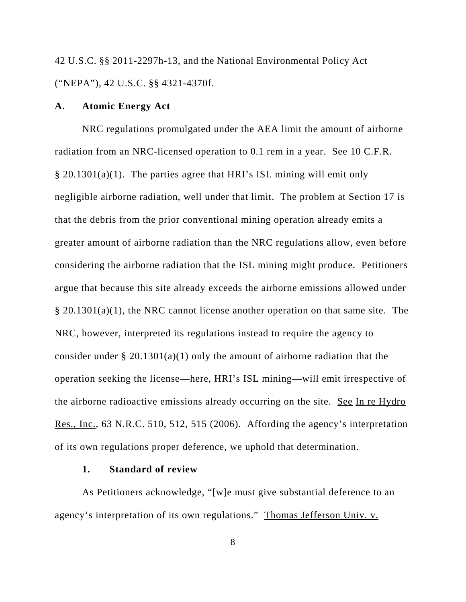42 U.S.C. §§ 2011-2297h-13, and the National Environmental Policy Act ("NEPA"), 42 U.S.C. §§ 4321-4370f.

#### **A. Atomic Energy Act**

NRC regulations promulgated under the AEA limit the amount of airborne radiation from an NRC-licensed operation to 0.1 rem in a year. See 10 C.F.R. § 20.1301(a)(1). The parties agree that HRI's ISL mining will emit only negligible airborne radiation, well under that limit. The problem at Section 17 is that the debris from the prior conventional mining operation already emits a greater amount of airborne radiation than the NRC regulations allow, even before considering the airborne radiation that the ISL mining might produce. Petitioners argue that because this site already exceeds the airborne emissions allowed under § 20.1301(a)(1), the NRC cannot license another operation on that same site. The NRC, however, interpreted its regulations instead to require the agency to consider under § 20.1301(a)(1) only the amount of airborne radiation that the operation seeking the license—here, HRI's ISL mining—will emit irrespective of the airborne radioactive emissions already occurring on the site. See In re Hydro Res., Inc., 63 N.R.C. 510, 512, 515 (2006). Affording the agency's interpretation of its own regulations proper deference, we uphold that determination.

#### **1. Standard of review**

As Petitioners acknowledge, "[w]e must give substantial deference to an agency's interpretation of its own regulations." Thomas Jefferson Univ. v.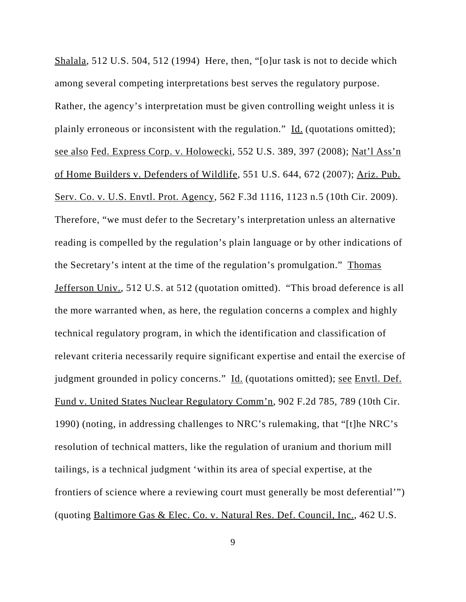Shalala, 512 U.S. 504, 512 (1994) Here, then, "[o]ur task is not to decide which among several competing interpretations best serves the regulatory purpose. Rather, the agency's interpretation must be given controlling weight unless it is plainly erroneous or inconsistent with the regulation." Id. (quotations omitted); see also Fed. Express Corp. v. Holowecki, 552 U.S. 389, 397 (2008); Nat'l Ass'n of Home Builders v. Defenders of Wildlife, 551 U.S. 644, 672 (2007); Ariz. Pub. Serv. Co. v. U.S. Envtl. Prot. Agency, 562 F.3d 1116, 1123 n.5 (10th Cir. 2009). Therefore, "we must defer to the Secretary's interpretation unless an alternative reading is compelled by the regulation's plain language or by other indications of the Secretary's intent at the time of the regulation's promulgation." Thomas Jefferson Univ., 512 U.S. at 512 (quotation omitted). "This broad deference is all the more warranted when, as here, the regulation concerns a complex and highly technical regulatory program, in which the identification and classification of relevant criteria necessarily require significant expertise and entail the exercise of judgment grounded in policy concerns." Id. (quotations omitted); see Envtl. Def. Fund v. United States Nuclear Regulatory Comm'n, 902 F.2d 785, 789 (10th Cir. 1990) (noting, in addressing challenges to NRC's rulemaking, that "[t]he NRC's resolution of technical matters, like the regulation of uranium and thorium mill tailings, is a technical judgment 'within its area of special expertise, at the frontiers of science where a reviewing court must generally be most deferential'") (quoting Baltimore Gas & Elec. Co. v. Natural Res. Def. Council, Inc., 462 U.S.

9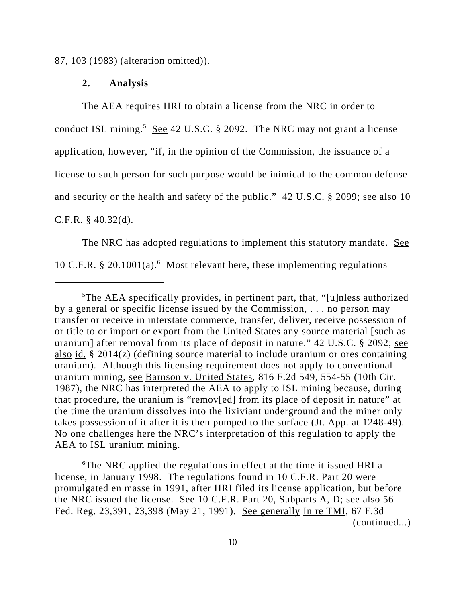87, 103 (1983) (alteration omitted)).

#### **2. Analysis**

The AEA requires HRI to obtain a license from the NRC in order to conduct ISL mining.<sup>5</sup> See 42 U.S.C. § 2092. The NRC may not grant a license application, however, "if, in the opinion of the Commission, the issuance of a license to such person for such purpose would be inimical to the common defense and security or the health and safety of the public." 42 U.S.C. § 2099; see also 10 C.F.R. § 40.32(d).

The NRC has adopted regulations to implement this statutory mandate. See 10 C.F.R. § 20.1001(a).<sup>6</sup> Most relevant here, these implementing regulations

6 The NRC applied the regulations in effect at the time it issued HRI a license, in January 1998. The regulations found in 10 C.F.R. Part 20 were promulgated en masse in 1991, after HRI filed its license application, but before the NRC issued the license. See 10 C.F.R. Part 20, Subparts A, D; see also 56 Fed. Reg. 23,391, 23,398 (May 21, 1991). See generally In re TMI, 67 F.3d (continued...)

<sup>&</sup>lt;sup>5</sup>The AEA specifically provides, in pertinent part, that, "[u]nless authorized by a general or specific license issued by the Commission, . . . no person may transfer or receive in interstate commerce, transfer, deliver, receive possession of or title to or import or export from the United States any source material [such as uranium] after removal from its place of deposit in nature." 42 U.S.C. § 2092; see also id. § 2014(z) (defining source material to include uranium or ores containing uranium). Although this licensing requirement does not apply to conventional uranium mining, see Barnson v. United States, 816 F.2d 549, 554-55 (10th Cir. 1987), the NRC has interpreted the AEA to apply to ISL mining because, during that procedure, the uranium is "remov[ed] from its place of deposit in nature" at the time the uranium dissolves into the lixiviant underground and the miner only takes possession of it after it is then pumped to the surface (Jt. App. at 1248-49). No one challenges here the NRC's interpretation of this regulation to apply the AEA to ISL uranium mining.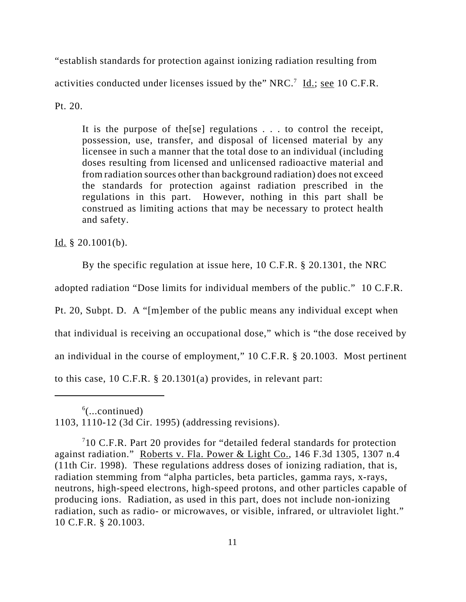"establish standards for protection against ionizing radiation resulting from activities conducted under licenses issued by the" NRC.<sup>7</sup> Id.; see 10 C.F.R.

Pt. 20.

It is the purpose of the[se] regulations . . . to control the receipt, possession, use, transfer, and disposal of licensed material by any licensee in such a manner that the total dose to an individual (including doses resulting from licensed and unlicensed radioactive material and from radiation sources other than background radiation) does not exceed the standards for protection against radiation prescribed in the regulations in this part. However, nothing in this part shall be construed as limiting actions that may be necessary to protect health and safety.

Id.  $§ 20.1001(b)$ .

By the specific regulation at issue here, 10 C.F.R. § 20.1301, the NRC

adopted radiation "Dose limits for individual members of the public." 10 C.F.R.

Pt. 20, Subpt. D. A "[m]ember of the public means any individual except when

that individual is receiving an occupational dose," which is "the dose received by

an individual in the course of employment," 10 C.F.R. § 20.1003. Most pertinent

to this case, 10 C.F.R. § 20.1301(a) provides, in relevant part:

 $6$ (...continued) 1103, 1110-12 (3d Cir. 1995) (addressing revisions).

 $710$  C.F.R. Part 20 provides for "detailed federal standards for protection against radiation." Roberts v. Fla. Power & Light Co., 146 F.3d 1305, 1307 n.4 (11th Cir. 1998). These regulations address doses of ionizing radiation, that is, radiation stemming from "alpha particles, beta particles, gamma rays, x-rays, neutrons, high-speed electrons, high-speed protons, and other particles capable of producing ions. Radiation, as used in this part, does not include non-ionizing radiation, such as radio- or microwaves, or visible, infrared, or ultraviolet light." 10 C.F.R. § 20.1003.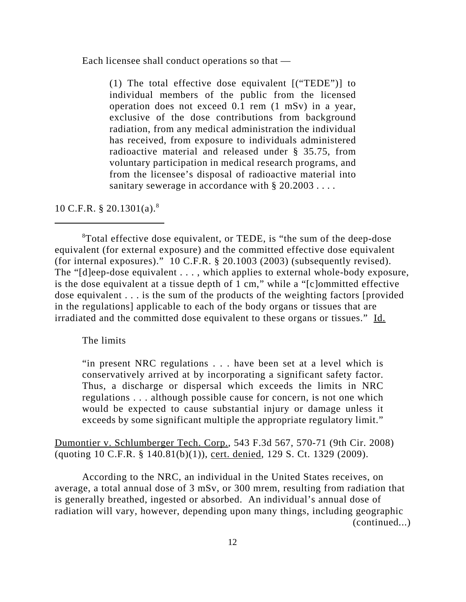Each licensee shall conduct operations so that —

(1) The total effective dose equivalent [("TEDE")] to individual members of the public from the licensed operation does not exceed 0.1 rem (1 mSv) in a year, exclusive of the dose contributions from background radiation, from any medical administration the individual has received, from exposure to individuals administered radioactive material and released under § 35.75, from voluntary participation in medical research programs, and from the licensee's disposal of radioactive material into sanitary sewerage in accordance with § 20.2003....

10 C.F.R.  $\S 20.1301(a).$ <sup>8</sup>

<sup>8</sup>Total effective dose equivalent, or TEDE, is "the sum of the deep-dose equivalent (for external exposure) and the committed effective dose equivalent (for internal exposures)." 10 C.F.R. § 20.1003 (2003) (subsequently revised). The "[d]eep-dose equivalent . . . , which applies to external whole-body exposure, is the dose equivalent at a tissue depth of 1 cm," while a "[c]ommitted effective dose equivalent . . . is the sum of the products of the weighting factors [provided in the regulations] applicable to each of the body organs or tissues that are irradiated and the committed dose equivalent to these organs or tissues." Id.

The limits

"in present NRC regulations . . . have been set at a level which is conservatively arrived at by incorporating a significant safety factor. Thus, a discharge or dispersal which exceeds the limits in NRC regulations . . . although possible cause for concern, is not one which would be expected to cause substantial injury or damage unless it exceeds by some significant multiple the appropriate regulatory limit."

Dumontier v. Schlumberger Tech. Corp., 543 F.3d 567, 570-71 (9th Cir. 2008) (quoting 10 C.F.R. § 140.81(b)(1)), cert. denied, 129 S. Ct. 1329 (2009).

According to the NRC, an individual in the United States receives, on average, a total annual dose of 3 mSv, or 300 mrem, resulting from radiation that is generally breathed, ingested or absorbed. An individual's annual dose of radiation will vary, however, depending upon many things, including geographic (continued...)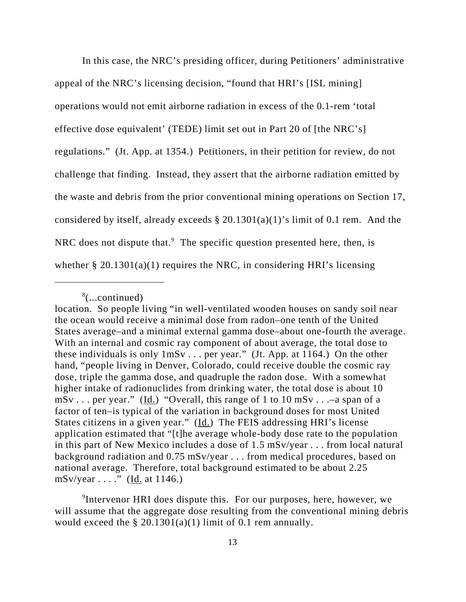In this case, the NRC's presiding officer, during Petitioners' administrative appeal of the NRC's licensing decision, "found that HRI's [ISL mining] operations would not emit airborne radiation in excess of the 0.1-rem 'total effective dose equivalent' (TEDE) limit set out in Part 20 of [the NRC's] regulations." (Jt. App. at 1354.) Petitioners, in their petition for review, do not challenge that finding. Instead, they assert that the airborne radiation emitted by the waste and debris from the prior conventional mining operations on Section 17, considered by itself, already exceeds  $\S 20.1301(a)(1)'$  s limit of 0.1 rem. And the NRC does not dispute that. $9$  The specific question presented here, then, is whether  $\S 20.1301(a)(1)$  requires the NRC, in considering HRI's licensing

<sup>8</sup> (...continued)

location. So people living "in well-ventilated wooden houses on sandy soil near the ocean would receive a minimal dose from radon–one tenth of the United States average–and a minimal external gamma dose–about one-fourth the average. With an internal and cosmic ray component of about average, the total dose to these individuals is only 1mSv . . . per year." (Jt. App. at 1164.) On the other hand, "people living in Denver, Colorado, could receive double the cosmic ray dose, triple the gamma dose, and quadruple the radon dose. With a somewhat higher intake of radionuclides from drinking water, the total dose is about 10  $mSv \dots$  per year." (Id.) "Overall, this range of 1 to 10 mSv... -a span of a factor of ten–is typical of the variation in background doses for most United States citizens in a given year." (Id.) The FEIS addressing HRI's license application estimated that "[t]he average whole-body dose rate to the population in this part of New Mexico includes a dose of 1.5 mSv/year . . . from local natural background radiation and 0.75 mSv/year . . . from medical procedures, based on national average. Therefore, total background estimated to be about 2.25 mSv/year  $\dots$ ." (Id. at 1146.)

<sup>&</sup>lt;sup>9</sup>Intervenor HRI does dispute this. For our purposes, here, however, we will assume that the aggregate dose resulting from the conventional mining debris would exceed the  $\S 20.1301(a)(1)$  limit of 0.1 rem annually.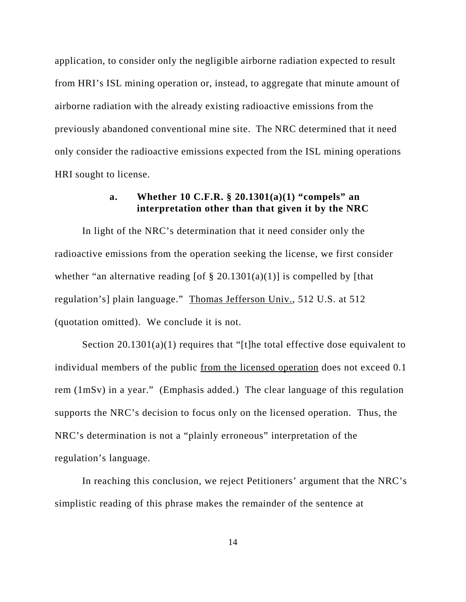application, to consider only the negligible airborne radiation expected to result from HRI's ISL mining operation or, instead, to aggregate that minute amount of airborne radiation with the already existing radioactive emissions from the previously abandoned conventional mine site. The NRC determined that it need only consider the radioactive emissions expected from the ISL mining operations HRI sought to license.

# **a. Whether 10 C.F.R. § 20.1301(a)(1) "compels" an interpretation other than that given it by the NRC**

In light of the NRC's determination that it need consider only the radioactive emissions from the operation seeking the license, we first consider whether "an alternative reading [of  $\S$  20.1301(a)(1)] is compelled by [that regulation's] plain language." Thomas Jefferson Univ., 512 U.S. at 512 (quotation omitted). We conclude it is not.

Section 20.1301(a)(1) requires that "[t]he total effective dose equivalent to individual members of the public from the licensed operation does not exceed 0.1 rem (1mSv) in a year." (Emphasis added.) The clear language of this regulation supports the NRC's decision to focus only on the licensed operation. Thus, the NRC's determination is not a "plainly erroneous" interpretation of the regulation's language.

In reaching this conclusion, we reject Petitioners' argument that the NRC's simplistic reading of this phrase makes the remainder of the sentence at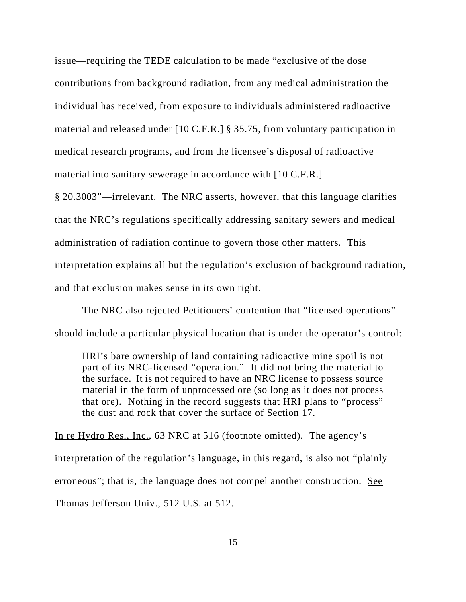issue—requiring the TEDE calculation to be made "exclusive of the dose contributions from background radiation, from any medical administration the individual has received, from exposure to individuals administered radioactive material and released under [10 C.F.R.] § 35.75, from voluntary participation in medical research programs, and from the licensee's disposal of radioactive material into sanitary sewerage in accordance with [10 C.F.R.]

§ 20.3003"—irrelevant. The NRC asserts, however, that this language clarifies that the NRC's regulations specifically addressing sanitary sewers and medical administration of radiation continue to govern those other matters. This interpretation explains all but the regulation's exclusion of background radiation, and that exclusion makes sense in its own right.

The NRC also rejected Petitioners' contention that "licensed operations" should include a particular physical location that is under the operator's control:

HRI's bare ownership of land containing radioactive mine spoil is not part of its NRC-licensed "operation." It did not bring the material to the surface. It is not required to have an NRC license to possess source material in the form of unprocessed ore (so long as it does not process that ore). Nothing in the record suggests that HRI plans to "process" the dust and rock that cover the surface of Section 17.

In re Hydro Res., Inc., 63 NRC at 516 (footnote omitted). The agency's interpretation of the regulation's language, in this regard, is also not "plainly erroneous"; that is, the language does not compel another construction. See Thomas Jefferson Univ., 512 U.S. at 512.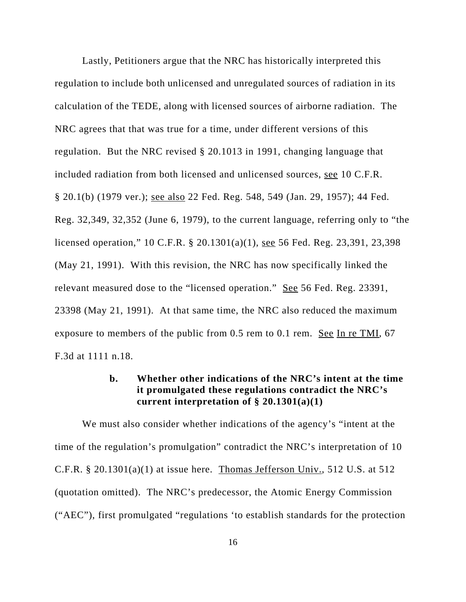Lastly, Petitioners argue that the NRC has historically interpreted this regulation to include both unlicensed and unregulated sources of radiation in its calculation of the TEDE, along with licensed sources of airborne radiation. The NRC agrees that that was true for a time, under different versions of this regulation. But the NRC revised § 20.1013 in 1991, changing language that included radiation from both licensed and unlicensed sources, see 10 C.F.R. § 20.1(b) (1979 ver.); see also 22 Fed. Reg. 548, 549 (Jan. 29, 1957); 44 Fed. Reg. 32,349, 32,352 (June 6, 1979), to the current language, referring only to "the licensed operation," 10 C.F.R. § 20.1301(a)(1), see 56 Fed. Reg. 23,391, 23,398 (May 21, 1991). With this revision, the NRC has now specifically linked the relevant measured dose to the "licensed operation." See 56 Fed. Reg. 23391, 23398 (May 21, 1991). At that same time, the NRC also reduced the maximum exposure to members of the public from  $0.5$  rem to  $0.1$  rem. See In re TMI, 67 F.3d at 1111 n.18.

# **b. Whether other indications of the NRC's intent at the time it promulgated these regulations contradict the NRC's current interpretation of § 20.1301(a)(1)**

We must also consider whether indications of the agency's "intent at the time of the regulation's promulgation" contradict the NRC's interpretation of 10 C.F.R. § 20.1301(a)(1) at issue here. Thomas Jefferson Univ., 512 U.S. at 512 (quotation omitted). The NRC's predecessor, the Atomic Energy Commission ("AEC"), first promulgated "regulations 'to establish standards for the protection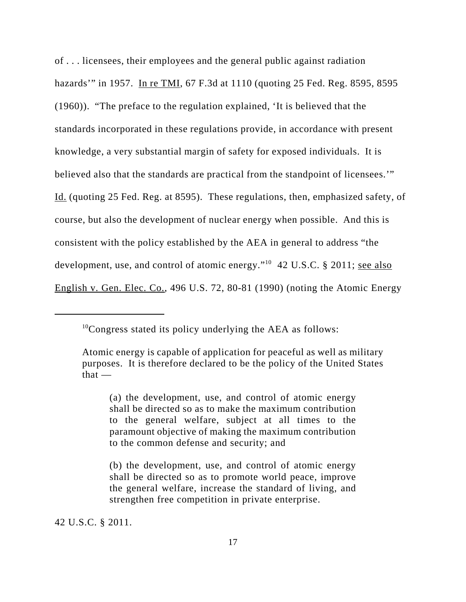of . . . licensees, their employees and the general public against radiation hazards'" in 1957. In re TMI, 67 F.3d at 1110 (quoting 25 Fed. Reg. 8595, 8595 (1960)). "The preface to the regulation explained, 'It is believed that the standards incorporated in these regulations provide, in accordance with present knowledge, a very substantial margin of safety for exposed individuals. It is believed also that the standards are practical from the standpoint of licensees.'" Id. (quoting 25 Fed. Reg. at 8595). These regulations, then, emphasized safety, of course, but also the development of nuclear energy when possible. And this is consistent with the policy established by the AEA in general to address "the development, use, and control of atomic energy."<sup>10</sup> 42 U.S.C. § 2011; <u>see also</u> English v. Gen. Elec. Co., 496 U.S. 72, 80-81 (1990) (noting the Atomic Energy

42 U.S.C. § 2011.

<sup>10</sup>Congress stated its policy underlying the AEA as follows:

Atomic energy is capable of application for peaceful as well as military purposes. It is therefore declared to be the policy of the United States that —

<sup>(</sup>a) the development, use, and control of atomic energy shall be directed so as to make the maximum contribution to the general welfare, subject at all times to the paramount objective of making the maximum contribution to the common defense and security; and

<sup>(</sup>b) the development, use, and control of atomic energy shall be directed so as to promote world peace, improve the general welfare, increase the standard of living, and strengthen free competition in private enterprise.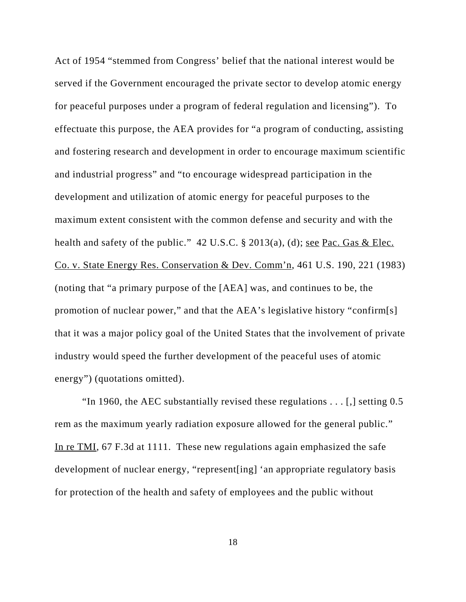Act of 1954 "stemmed from Congress' belief that the national interest would be served if the Government encouraged the private sector to develop atomic energy for peaceful purposes under a program of federal regulation and licensing"). To effectuate this purpose, the AEA provides for "a program of conducting, assisting and fostering research and development in order to encourage maximum scientific and industrial progress" and "to encourage widespread participation in the development and utilization of atomic energy for peaceful purposes to the maximum extent consistent with the common defense and security and with the health and safety of the public." 42 U.S.C. § 2013(a), (d); see Pac. Gas & Elec. Co. v. State Energy Res. Conservation & Dev. Comm'n, 461 U.S. 190, 221 (1983) (noting that "a primary purpose of the [AEA] was, and continues to be, the promotion of nuclear power," and that the AEA's legislative history "confirm[s] that it was a major policy goal of the United States that the involvement of private industry would speed the further development of the peaceful uses of atomic energy") (quotations omitted).

"In 1960, the AEC substantially revised these regulations  $\dots$  [,] setting 0.5 rem as the maximum yearly radiation exposure allowed for the general public." In re TMI, 67 F.3d at 1111. These new regulations again emphasized the safe development of nuclear energy, "represent[ing] 'an appropriate regulatory basis for protection of the health and safety of employees and the public without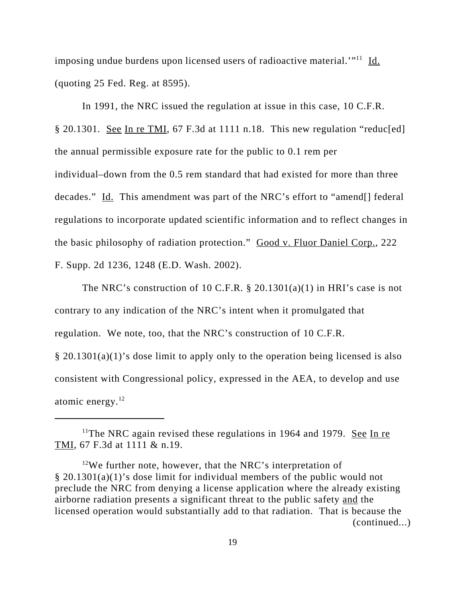imposing undue burdens upon licensed users of radioactive material.<sup>'"11</sup> Id. (quoting 25 Fed. Reg. at 8595).

In 1991, the NRC issued the regulation at issue in this case, 10 C.F.R. § 20.1301. See In re TMI, 67 F.3d at 1111 n.18. This new regulation "reduc[ed] the annual permissible exposure rate for the public to 0.1 rem per individual–down from the 0.5 rem standard that had existed for more than three decades." Id. This amendment was part of the NRC's effort to "amend[] federal regulations to incorporate updated scientific information and to reflect changes in the basic philosophy of radiation protection." Good v. Fluor Daniel Corp., 222 F. Supp. 2d 1236, 1248 (E.D. Wash. 2002).

The NRC's construction of 10 C.F.R.  $\S$  20.1301(a)(1) in HRI's case is not contrary to any indication of the NRC's intent when it promulgated that regulation. We note, too, that the NRC's construction of 10 C.F.R. § 20.1301(a)(1)'s dose limit to apply only to the operation being licensed is also consistent with Congressional policy, expressed in the AEA, to develop and use atomic energy. $^{12}$ 

<sup>&</sup>lt;sup>11</sup>The NRC again revised these regulations in 1964 and 1979. <u>See In re</u> TMI, 67 F.3d at 1111 & n.19.

<sup>&</sup>lt;sup>12</sup>We further note, however, that the NRC's interpretation of § 20.1301(a)(1)'s dose limit for individual members of the public would not preclude the NRC from denying a license application where the already existing airborne radiation presents a significant threat to the public safety and the licensed operation would substantially add to that radiation. That is because the (continued...)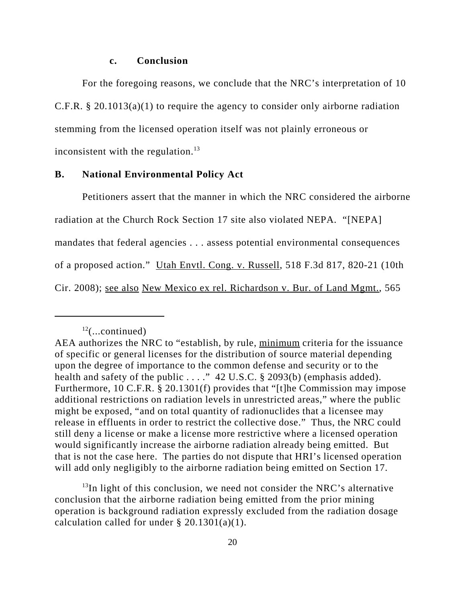#### **c. Conclusion**

For the foregoing reasons, we conclude that the NRC's interpretation of 10 C.F.R. § 20.1013(a)(1) to require the agency to consider only airborne radiation stemming from the licensed operation itself was not plainly erroneous or inconsistent with the regulation.<sup>13</sup>

#### **B. National Environmental Policy Act**

Petitioners assert that the manner in which the NRC considered the airborne radiation at the Church Rock Section 17 site also violated NEPA. "[NEPA] mandates that federal agencies . . . assess potential environmental consequences of a proposed action." Utah Envtl. Cong. v. Russell, 518 F.3d 817, 820-21 (10th Cir. 2008); see also New Mexico ex rel. Richardson v. Bur. of Land Mgmt., 565

 $13$ In light of this conclusion, we need not consider the NRC's alternative conclusion that the airborne radiation being emitted from the prior mining operation is background radiation expressly excluded from the radiation dosage calculation called for under § 20.1301(a)(1).

 $12$ (...continued)

AEA authorizes the NRC to "establish, by rule, minimum criteria for the issuance of specific or general licenses for the distribution of source material depending upon the degree of importance to the common defense and security or to the health and safety of the public . . . ." 42 U.S.C. § 2093(b) (emphasis added). Furthermore, 10 C.F.R. § 20.1301(f) provides that "[t]he Commission may impose additional restrictions on radiation levels in unrestricted areas," where the public might be exposed, "and on total quantity of radionuclides that a licensee may release in effluents in order to restrict the collective dose." Thus, the NRC could still deny a license or make a license more restrictive where a licensed operation would significantly increase the airborne radiation already being emitted. But that is not the case here. The parties do not dispute that HRI's licensed operation will add only negligibly to the airborne radiation being emitted on Section 17.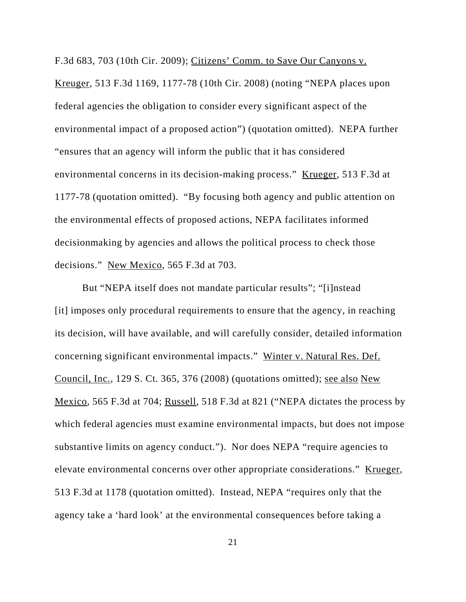F.3d 683, 703 (10th Cir. 2009); Citizens' Comm. to Save Our Canyons v. Kreuger, 513 F.3d 1169, 1177-78 (10th Cir. 2008) (noting "NEPA places upon federal agencies the obligation to consider every significant aspect of the environmental impact of a proposed action") (quotation omitted). NEPA further "ensures that an agency will inform the public that it has considered environmental concerns in its decision-making process." Krueger, 513 F.3d at 1177-78 (quotation omitted). "By focusing both agency and public attention on the environmental effects of proposed actions, NEPA facilitates informed decisionmaking by agencies and allows the political process to check those decisions." New Mexico, 565 F.3d at 703.

But "NEPA itself does not mandate particular results"; "[i]nstead [it] imposes only procedural requirements to ensure that the agency, in reaching its decision, will have available, and will carefully consider, detailed information concerning significant environmental impacts." Winter v. Natural Res. Def. Council, Inc., 129 S. Ct. 365, 376 (2008) (quotations omitted); see also New Mexico, 565 F.3d at 704; Russell, 518 F.3d at 821 ("NEPA dictates the process by which federal agencies must examine environmental impacts, but does not impose substantive limits on agency conduct."). Nor does NEPA "require agencies to elevate environmental concerns over other appropriate considerations." Krueger, 513 F.3d at 1178 (quotation omitted). Instead, NEPA "requires only that the agency take a 'hard look' at the environmental consequences before taking a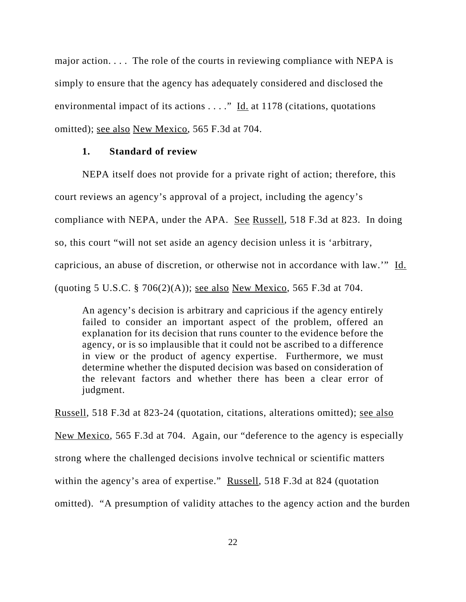major action. . . . The role of the courts in reviewing compliance with NEPA is simply to ensure that the agency has adequately considered and disclosed the environmental impact of its actions  $\dots$ ." Id. at 1178 (citations, quotations omitted); see also New Mexico, 565 F.3d at 704.

### **1. Standard of review**

NEPA itself does not provide for a private right of action; therefore, this court reviews an agency's approval of a project, including the agency's compliance with NEPA, under the APA. See Russell, 518 F.3d at 823. In doing so, this court "will not set aside an agency decision unless it is 'arbitrary, capricious, an abuse of discretion, or otherwise not in accordance with law.'" Id. (quoting 5 U.S.C.  $\S 706(2)(A)$ ); <u>see also New Mexico</u>, 565 F.3d at 704.

An agency's decision is arbitrary and capricious if the agency entirely failed to consider an important aspect of the problem, offered an explanation for its decision that runs counter to the evidence before the agency, or is so implausible that it could not be ascribed to a difference in view or the product of agency expertise. Furthermore, we must determine whether the disputed decision was based on consideration of the relevant factors and whether there has been a clear error of judgment.

Russell, 518 F.3d at 823-24 (quotation, citations, alterations omitted); see also New Mexico, 565 F.3d at 704. Again, our "deference to the agency is especially strong where the challenged decisions involve technical or scientific matters within the agency's area of expertise." Russell, 518 F.3d at 824 (quotation omitted). "A presumption of validity attaches to the agency action and the burden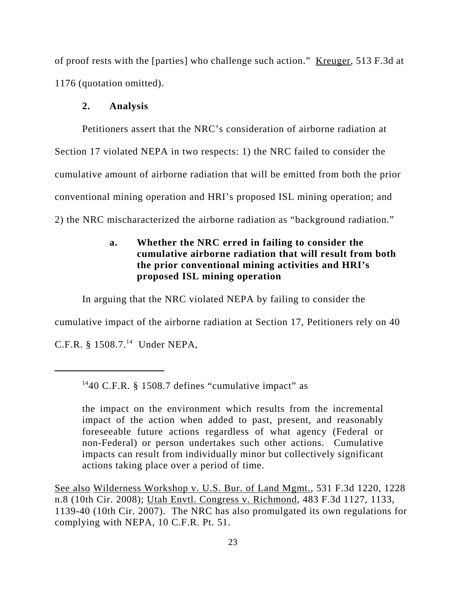of proof rests with the [parties] who challenge such action." Kreuger, 513 F.3d at 1176 (quotation omitted).

# **2. Analysis**

Petitioners assert that the NRC's consideration of airborne radiation at Section 17 violated NEPA in two respects: 1) the NRC failed to consider the cumulative amount of airborne radiation that will be emitted from both the prior conventional mining operation and HRI's proposed ISL mining operation; and 2) the NRC mischaracterized the airborne radiation as "background radiation."

# **a. Whether the NRC erred in failing to consider the cumulative airborne radiation that will result from both the prior conventional mining activities and HRI's proposed ISL mining operation**

In arguing that the NRC violated NEPA by failing to consider the

cumulative impact of the airborne radiation at Section 17, Petitioners rely on 40

C.F.R. § 1508.7.<sup>14</sup> Under NEPA,

See also Wilderness Workshop v. U.S. Bur. of Land Mgmt., 531 F.3d 1220, 1228 n.8 (10th Cir. 2008); Utah Envtl. Congress v. Richmond, 483 F.3d 1127, 1133, 1139-40 (10th Cir. 2007). The NRC has also promulgated its own regulations for complying with NEPA, 10 C.F.R. Pt. 51.

<sup>&</sup>lt;sup>14</sup>40 C.F.R. § 1508.7 defines "cumulative impact" as

the impact on the environment which results from the incremental impact of the action when added to past, present, and reasonably foreseeable future actions regardless of what agency (Federal or non-Federal) or person undertakes such other actions. Cumulative impacts can result from individually minor but collectively significant actions taking place over a period of time.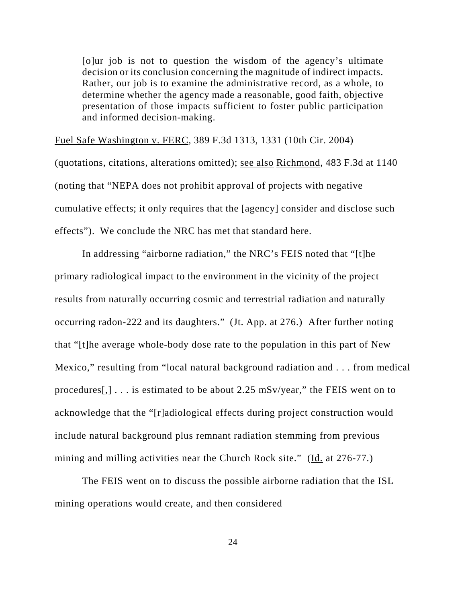[o]ur job is not to question the wisdom of the agency's ultimate decision or its conclusion concerning the magnitude of indirect impacts. Rather, our job is to examine the administrative record, as a whole, to determine whether the agency made a reasonable, good faith, objective presentation of those impacts sufficient to foster public participation and informed decision-making.

Fuel Safe Washington v. FERC, 389 F.3d 1313, 1331 (10th Cir. 2004) (quotations, citations, alterations omitted); see also Richmond, 483 F.3d at 1140 (noting that "NEPA does not prohibit approval of projects with negative cumulative effects; it only requires that the [agency] consider and disclose such effects"). We conclude the NRC has met that standard here.

In addressing "airborne radiation," the NRC's FEIS noted that "[t]he primary radiological impact to the environment in the vicinity of the project results from naturally occurring cosmic and terrestrial radiation and naturally occurring radon-222 and its daughters." (Jt. App. at 276.)After further noting that "[t]he average whole-body dose rate to the population in this part of New Mexico," resulting from "local natural background radiation and . . . from medical procedures[,] . . . is estimated to be about 2.25 mSv/year," the FEIS went on to acknowledge that the "[r]adiological effects during project construction would include natural background plus remnant radiation stemming from previous mining and milling activities near the Church Rock site." (Id. at 276-77.)

The FEIS went on to discuss the possible airborne radiation that the ISL mining operations would create, and then considered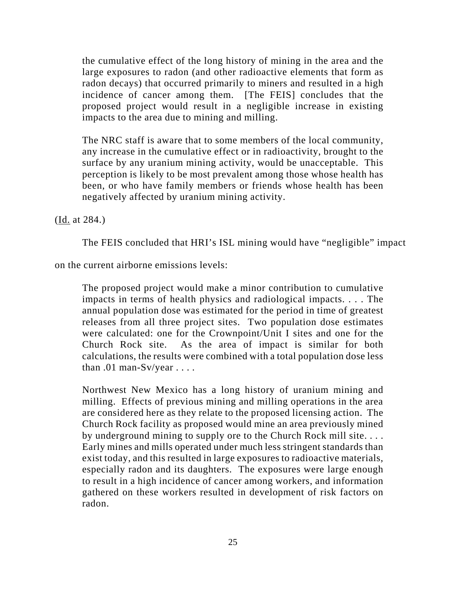the cumulative effect of the long history of mining in the area and the large exposures to radon (and other radioactive elements that form as radon decays) that occurred primarily to miners and resulted in a high incidence of cancer among them. [The FEIS] concludes that the proposed project would result in a negligible increase in existing impacts to the area due to mining and milling.

The NRC staff is aware that to some members of the local community, any increase in the cumulative effect or in radioactivity, brought to the surface by any uranium mining activity, would be unacceptable. This perception is likely to be most prevalent among those whose health has been, or who have family members or friends whose health has been negatively affected by uranium mining activity.

(Id. at 284.)

The FEIS concluded that HRI's ISL mining would have "negligible" impact

on the current airborne emissions levels:

The proposed project would make a minor contribution to cumulative impacts in terms of health physics and radiological impacts. . . . The annual population dose was estimated for the period in time of greatest releases from all three project sites. Two population dose estimates were calculated: one for the Crownpoint/Unit I sites and one for the Church Rock site. As the area of impact is similar for both calculations, the results were combined with a total population dose less than  $.01$  man-Sv/year  $\ldots$ .

Northwest New Mexico has a long history of uranium mining and milling. Effects of previous mining and milling operations in the area are considered here as they relate to the proposed licensing action. The Church Rock facility as proposed would mine an area previously mined by underground mining to supply ore to the Church Rock mill site. . . . Early mines and mills operated under much less stringent standards than exist today, and this resulted in large exposures to radioactive materials, especially radon and its daughters. The exposures were large enough to result in a high incidence of cancer among workers, and information gathered on these workers resulted in development of risk factors on radon.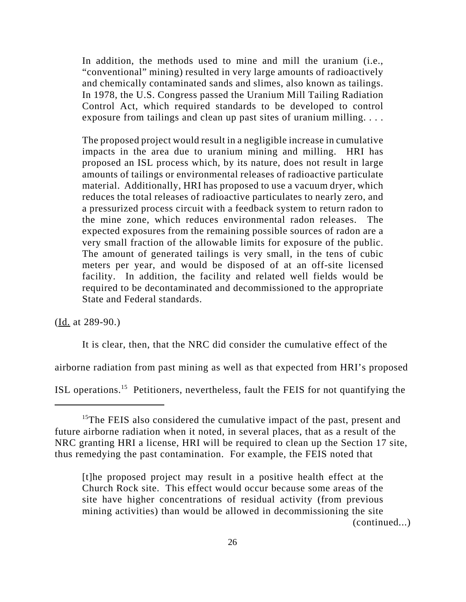In addition, the methods used to mine and mill the uranium (i.e., "conventional" mining) resulted in very large amounts of radioactively and chemically contaminated sands and slimes, also known as tailings. In 1978, the U.S. Congress passed the Uranium Mill Tailing Radiation Control Act, which required standards to be developed to control exposure from tailings and clean up past sites of uranium milling. . . .

The proposed project would result in a negligible increase in cumulative impacts in the area due to uranium mining and milling. HRI has proposed an ISL process which, by its nature, does not result in large amounts of tailings or environmental releases of radioactive particulate material. Additionally, HRI has proposed to use a vacuum dryer, which reduces the total releases of radioactive particulates to nearly zero, and a pressurized process circuit with a feedback system to return radon to the mine zone, which reduces environmental radon releases. The expected exposures from the remaining possible sources of radon are a very small fraction of the allowable limits for exposure of the public. The amount of generated tailings is very small, in the tens of cubic meters per year, and would be disposed of at an off-site licensed facility. In addition, the facility and related well fields would be required to be decontaminated and decommissioned to the appropriate State and Federal standards.

(Id. at 289-90.)

It is clear, then, that the NRC did consider the cumulative effect of the

airborne radiation from past mining as well as that expected from HRI's proposed

ISL operations.15 Petitioners, nevertheless, fault the FEIS for not quantifying the

<sup>&</sup>lt;sup>15</sup>The FEIS also considered the cumulative impact of the past, present and future airborne radiation when it noted, in several places, that as a result of the NRC granting HRI a license, HRI will be required to clean up the Section 17 site, thus remedying the past contamination. For example, the FEIS noted that

<sup>[</sup>t]he proposed project may result in a positive health effect at the Church Rock site. This effect would occur because some areas of the site have higher concentrations of residual activity (from previous mining activities) than would be allowed in decommissioning the site (continued...)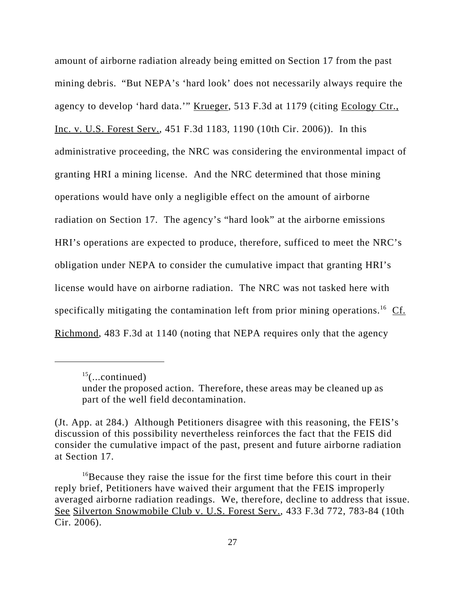amount of airborne radiation already being emitted on Section 17 from the past mining debris. "But NEPA's 'hard look' does not necessarily always require the agency to develop 'hard data.'" Krueger, 513 F.3d at 1179 (citing Ecology Ctr., Inc. v. U.S. Forest Serv., 451 F.3d 1183, 1190 (10th Cir. 2006)). In this administrative proceeding, the NRC was considering the environmental impact of granting HRI a mining license. And the NRC determined that those mining operations would have only a negligible effect on the amount of airborne radiation on Section 17. The agency's "hard look" at the airborne emissions HRI's operations are expected to produce, therefore, sufficed to meet the NRC's obligation under NEPA to consider the cumulative impact that granting HRI's license would have on airborne radiation. The NRC was not tasked here with specifically mitigating the contamination left from prior mining operations.<sup>16</sup> Cf. Richmond, 483 F.3d at 1140 (noting that NEPA requires only that the agency

 $^{15}$ (...continued)

under the proposed action. Therefore, these areas may be cleaned up as part of the well field decontamination.

<sup>(</sup>Jt. App. at 284.) Although Petitioners disagree with this reasoning, the FEIS's discussion of this possibility nevertheless reinforces the fact that the FEIS did consider the cumulative impact of the past, present and future airborne radiation at Section 17.

 $16$ Because they raise the issue for the first time before this court in their reply brief, Petitioners have waived their argument that the FEIS improperly averaged airborne radiation readings. We, therefore, decline to address that issue. See Silverton Snowmobile Club v. U.S. Forest Serv., 433 F.3d 772, 783-84 (10th Cir. 2006).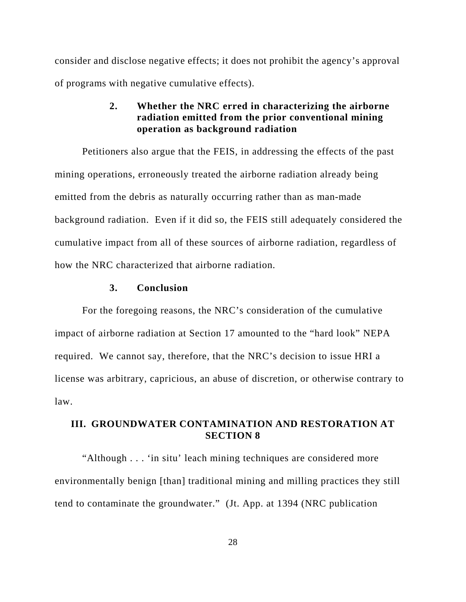consider and disclose negative effects; it does not prohibit the agency's approval of programs with negative cumulative effects).

# **2. Whether the NRC erred in characterizing the airborne radiation emitted from the prior conventional mining operation as background radiation**

Petitioners also argue that the FEIS, in addressing the effects of the past mining operations, erroneously treated the airborne radiation already being emitted from the debris as naturally occurring rather than as man-made background radiation. Even if it did so, the FEIS still adequately considered the cumulative impact from all of these sources of airborne radiation, regardless of how the NRC characterized that airborne radiation.

#### **3. Conclusion**

For the foregoing reasons, the NRC's consideration of the cumulative impact of airborne radiation at Section 17 amounted to the "hard look" NEPA required. We cannot say, therefore, that the NRC's decision to issue HRI a license was arbitrary, capricious, an abuse of discretion, or otherwise contrary to law.

### **III. GROUNDWATER CONTAMINATION AND RESTORATION AT SECTION 8**

"Although . . . 'in situ' leach mining techniques are considered more environmentally benign [than] traditional mining and milling practices they still tend to contaminate the groundwater." (Jt. App. at 1394 (NRC publication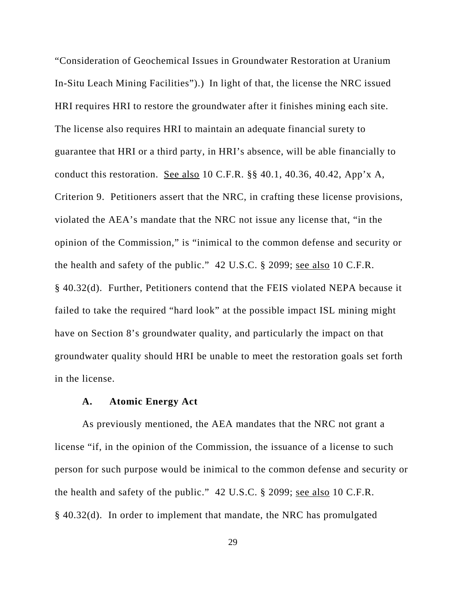"Consideration of Geochemical Issues in Groundwater Restoration at Uranium In-Situ Leach Mining Facilities").) In light of that, the license the NRC issued HRI requires HRI to restore the groundwater after it finishes mining each site. The license also requires HRI to maintain an adequate financial surety to guarantee that HRI or a third party, in HRI's absence, will be able financially to conduct this restoration. See also 10 C.F.R. §§ 40.1, 40.36, 40.42, App'x A, Criterion 9. Petitioners assert that the NRC, in crafting these license provisions, violated the AEA's mandate that the NRC not issue any license that, "in the opinion of the Commission," is "inimical to the common defense and security or the health and safety of the public." 42 U.S.C. § 2099; <u>see also</u> 10 C.F.R. § 40.32(d). Further, Petitioners contend that the FEIS violated NEPA because it failed to take the required "hard look" at the possible impact ISL mining might have on Section 8's groundwater quality, and particularly the impact on that groundwater quality should HRI be unable to meet the restoration goals set forth in the license.

#### **A. Atomic Energy Act**

As previously mentioned, the AEA mandates that the NRC not grant a license "if, in the opinion of the Commission, the issuance of a license to such person for such purpose would be inimical to the common defense and security or the health and safety of the public." 42 U.S.C. § 2099; see also 10 C.F.R. § 40.32(d). In order to implement that mandate, the NRC has promulgated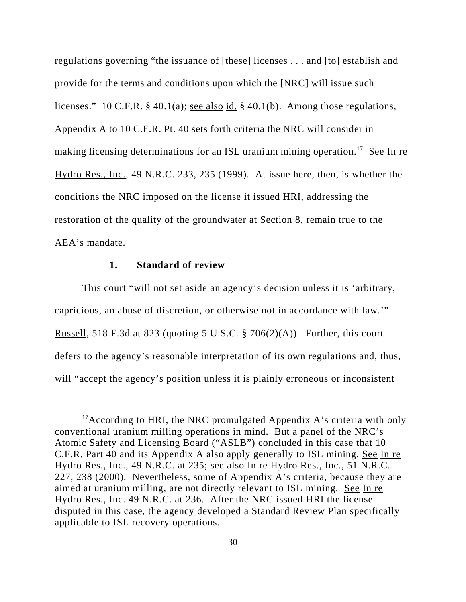regulations governing "the issuance of [these] licenses . . . and [to] establish and provide for the terms and conditions upon which the [NRC] will issue such licenses." 10 C.F.R. § 40.1(a); <u>see also id.</u> § 40.1(b). Among those regulations, Appendix A to 10 C.F.R. Pt. 40 sets forth criteria the NRC will consider in making licensing determinations for an ISL uranium mining operation.<sup>17</sup> See In re Hydro Res., Inc., 49 N.R.C. 233, 235 (1999). At issue here, then, is whether the conditions the NRC imposed on the license it issued HRI, addressing the restoration of the quality of the groundwater at Section 8, remain true to the AEA's mandate.

### **1. Standard of review**

This court "will not set aside an agency's decision unless it is 'arbitrary, capricious, an abuse of discretion, or otherwise not in accordance with law.'" Russell, 518 F.3d at 823 (quoting 5 U.S.C.  $\S$  706(2)(A)). Further, this court defers to the agency's reasonable interpretation of its own regulations and, thus, will "accept the agency's position unless it is plainly erroneous or inconsistent

<sup>&</sup>lt;sup>17</sup>According to HRI, the NRC promulgated Appendix A's criteria with only conventional uranium milling operations in mind. But a panel of the NRC's Atomic Safety and Licensing Board ("ASLB") concluded in this case that 10 C.F.R. Part 40 and its Appendix A also apply generally to ISL mining. See In re Hydro Res., Inc., 49 N.R.C. at 235; see also In re Hydro Res., Inc., 51 N.R.C. 227, 238 (2000). Nevertheless, some of Appendix A's criteria, because they are aimed at uranium milling, are not directly relevant to ISL mining. See In re Hydro Res., Inc. 49 N.R.C. at 236. After the NRC issued HRI the license disputed in this case, the agency developed a Standard Review Plan specifically applicable to ISL recovery operations.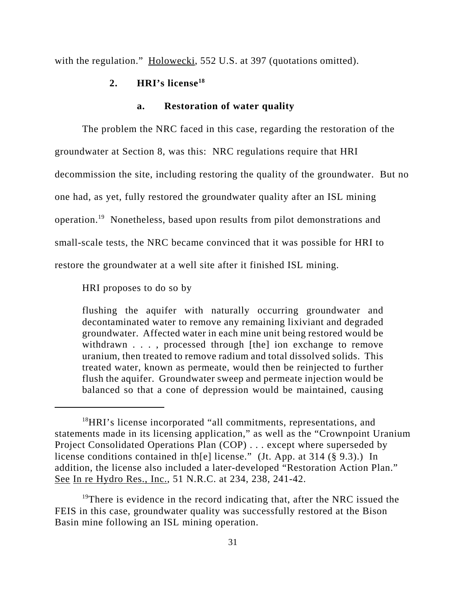with the regulation." Holowecki, 552 U.S. at 397 (quotations omitted).

#### **2. HRI's license18**

#### **a. Restoration of water quality**

The problem the NRC faced in this case, regarding the restoration of the groundwater at Section 8, was this: NRC regulations require that HRI decommission the site, including restoring the quality of the groundwater. But no one had, as yet, fully restored the groundwater quality after an ISL mining operation.19 Nonetheless, based upon results from pilot demonstrations and small-scale tests, the NRC became convinced that it was possible for HRI to restore the groundwater at a well site after it finished ISL mining.

HRI proposes to do so by

flushing the aquifer with naturally occurring groundwater and decontaminated water to remove any remaining lixiviant and degraded groundwater. Affected water in each mine unit being restored would be withdrawn . . . , processed through [the] ion exchange to remove uranium, then treated to remove radium and total dissolved solids. This treated water, known as permeate, would then be reinjected to further flush the aquifer. Groundwater sweep and permeate injection would be balanced so that a cone of depression would be maintained, causing

<sup>&</sup>lt;sup>18</sup>HRI's license incorporated "all commitments, representations, and statements made in its licensing application," as well as the "Crownpoint Uranium Project Consolidated Operations Plan (COP) . . . except where superseded by license conditions contained in th[e] license." (Jt. App. at 314 (§ 9.3).) In addition, the license also included a later-developed "Restoration Action Plan." See In re Hydro Res., Inc., 51 N.R.C. at 234, 238, 241-42.

 $19$ There is evidence in the record indicating that, after the NRC issued the FEIS in this case, groundwater quality was successfully restored at the Bison Basin mine following an ISL mining operation.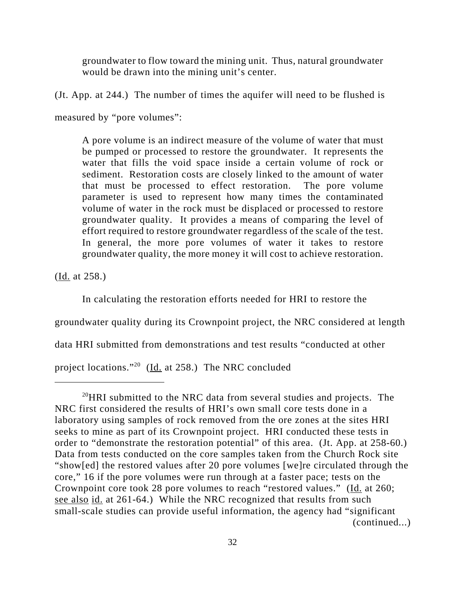groundwater to flow toward the mining unit. Thus, natural groundwater would be drawn into the mining unit's center.

(Jt. App. at 244.) The number of times the aquifer will need to be flushed is

measured by "pore volumes":

A pore volume is an indirect measure of the volume of water that must be pumped or processed to restore the groundwater. It represents the water that fills the void space inside a certain volume of rock or sediment. Restoration costs are closely linked to the amount of water that must be processed to effect restoration. The pore volume parameter is used to represent how many times the contaminated volume of water in the rock must be displaced or processed to restore groundwater quality. It provides a means of comparing the level of effort required to restore groundwater regardless of the scale of the test. In general, the more pore volumes of water it takes to restore groundwater quality, the more money it will cost to achieve restoration.

(Id. at 258.)

In calculating the restoration efforts needed for HRI to restore the

groundwater quality during its Crownpoint project, the NRC considered at length

data HRI submitted from demonstrations and test results "conducted at other

project locations."20 (Id. at 258.) The NRC concluded

 $^{20}$ HRI submitted to the NRC data from several studies and projects. The NRC first considered the results of HRI's own small core tests done in a laboratory using samples of rock removed from the ore zones at the sites HRI seeks to mine as part of its Crownpoint project. HRI conducted these tests in order to "demonstrate the restoration potential" of this area. (Jt. App. at 258-60.) Data from tests conducted on the core samples taken from the Church Rock site "show[ed] the restored values after 20 pore volumes [we]re circulated through the core," 16 if the pore volumes were run through at a faster pace; tests on the Crownpoint core took 28 pore volumes to reach "restored values." (Id. at 260; see also id. at 261-64.) While the NRC recognized that results from such small-scale studies can provide useful information, the agency had "significant (continued...)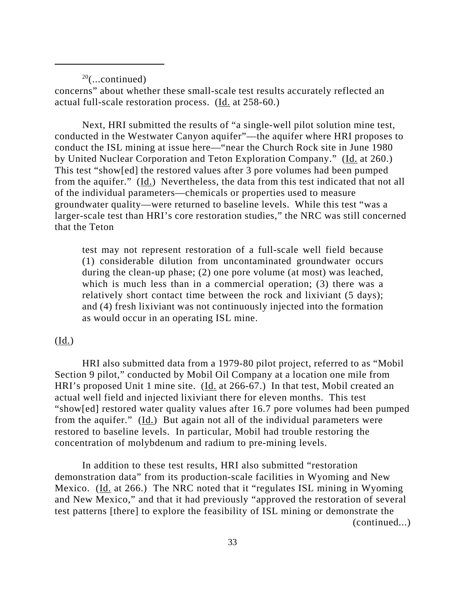$20$ (...continued)

concerns" about whether these small-scale test results accurately reflected an actual full-scale restoration process. (Id. at 258-60.)

Next, HRI submitted the results of "a single-well pilot solution mine test, conducted in the Westwater Canyon aquifer"—the aquifer where HRI proposes to conduct the ISL mining at issue here—"near the Church Rock site in June 1980 by United Nuclear Corporation and Teton Exploration Company." (Id. at 260.) This test "show[ed] the restored values after 3 pore volumes had been pumped from the aquifer." (Id.) Nevertheless, the data from this test indicated that not all of the individual parameters—chemicals or properties used to measure groundwater quality—were returned to baseline levels. While this test "was a larger-scale test than HRI's core restoration studies," the NRC was still concerned that the Teton

test may not represent restoration of a full-scale well field because (1) considerable dilution from uncontaminated groundwater occurs during the clean-up phase; (2) one pore volume (at most) was leached, which is much less than in a commercial operation; (3) there was a relatively short contact time between the rock and lixiviant (5 days); and (4) fresh lixiviant was not continuously injected into the formation as would occur in an operating ISL mine.

### $(\underline{Id.})$

HRI also submitted data from a 1979-80 pilot project, referred to as "Mobil Section 9 pilot," conducted by Mobil Oil Company at a location one mile from HRI's proposed Unit 1 mine site. (Id. at 266-67.) In that test, Mobil created an actual well field and injected lixiviant there for eleven months. This test "show[ed] restored water quality values after 16.7 pore volumes had been pumped from the aquifer."  $(\underline{Id.})$  But again not all of the individual parameters were restored to baseline levels. In particular, Mobil had trouble restoring the concentration of molybdenum and radium to pre-mining levels.

In addition to these test results, HRI also submitted "restoration demonstration data" from its production-scale facilities in Wyoming and New Mexico. (Id. at 266.) The NRC noted that it "regulates ISL mining in Wyoming and New Mexico," and that it had previously "approved the restoration of several test patterns [there] to explore the feasibility of ISL mining or demonstrate the (continued...)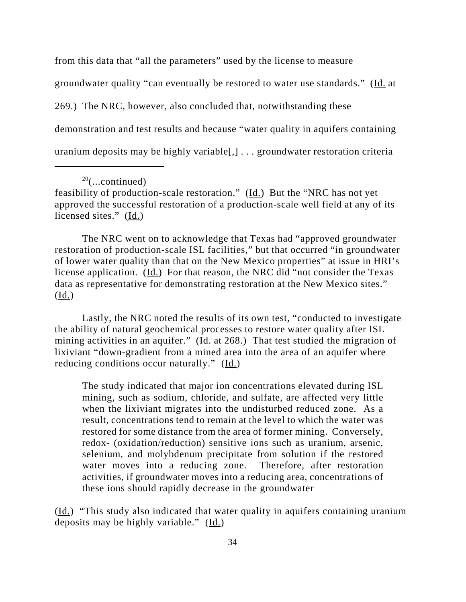from this data that "all the parameters" used by the license to measure groundwater quality "can eventually be restored to water use standards." (Id. at 269.) The NRC, however, also concluded that, notwithstanding these demonstration and test results and because "water quality in aquifers containing uranium deposits may be highly variable[,] . . . groundwater restoration criteria

The NRC went on to acknowledge that Texas had "approved groundwater restoration of production-scale ISL facilities," but that occurred "in groundwater of lower water quality than that on the New Mexico properties" at issue in HRI's license application. (Id.) For that reason, the NRC did "not consider the Texas data as representative for demonstrating restoration at the New Mexico sites." (Id.)

Lastly, the NRC noted the results of its own test, "conducted to investigate the ability of natural geochemical processes to restore water quality after ISL mining activities in an aquifer." (Id. at 268.)That test studied the migration of lixiviant "down-gradient from a mined area into the area of an aquifer where reducing conditions occur naturally." (Id.)

The study indicated that major ion concentrations elevated during ISL mining, such as sodium, chloride, and sulfate, are affected very little when the lixiviant migrates into the undisturbed reduced zone. As a result, concentrations tend to remain at the level to which the water was restored for some distance from the area of former mining. Conversely, redox- (oxidation/reduction) sensitive ions such as uranium, arsenic, selenium, and molybdenum precipitate from solution if the restored water moves into a reducing zone. Therefore, after restoration activities, if groundwater moves into a reducing area, concentrations of these ions should rapidly decrease in the groundwater

(Id.) "This study also indicated that water quality in aquifers containing uranium deposits may be highly variable." (Id.)

 $20$ (...continued)

feasibility of production-scale restoration."  $(\underline{Id.})$  But the "NRC has not yet approved the successful restoration of a production-scale well field at any of its licensed sites." (Id.)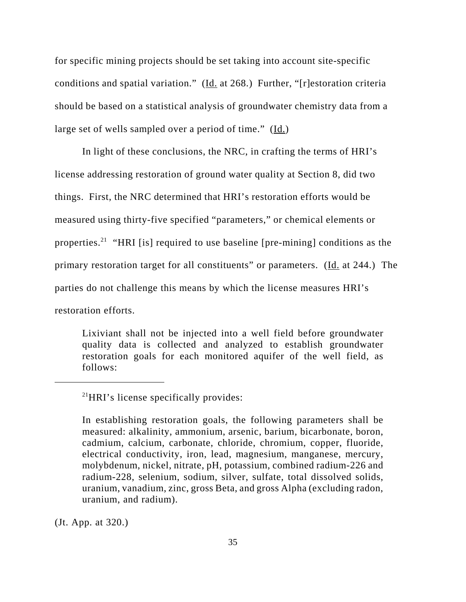for specific mining projects should be set taking into account site-specific conditions and spatial variation." (Id. at 268.) Further, "[r]estoration criteria should be based on a statistical analysis of groundwater chemistry data from a large set of wells sampled over a period of time."  $(\underline{Id.})$ 

In light of these conclusions, the NRC, in crafting the terms of HRI's license addressing restoration of ground water quality at Section 8, did two things. First, the NRC determined that HRI's restoration efforts would be measured using thirty-five specified "parameters," or chemical elements or properties.<sup>21</sup> "HRI [is] required to use baseline [pre-mining] conditions as the primary restoration target for all constituents" or parameters. (Id. at 244.) The parties do not challenge this means by which the license measures HRI's restoration efforts.

Lixiviant shall not be injected into a well field before groundwater quality data is collected and analyzed to establish groundwater restoration goals for each monitored aquifer of the well field, as follows:

(Jt. App. at 320.)

<sup>21</sup>HRI's license specifically provides:

In establishing restoration goals, the following parameters shall be measured: alkalinity, ammonium, arsenic, barium, bicarbonate, boron, cadmium, calcium, carbonate, chloride, chromium, copper, fluoride, electrical conductivity, iron, lead, magnesium, manganese, mercury, molybdenum, nickel, nitrate, pH, potassium, combined radium-226 and radium-228, selenium, sodium, silver, sulfate, total dissolved solids, uranium, vanadium, zinc, gross Beta, and gross Alpha (excluding radon, uranium, and radium).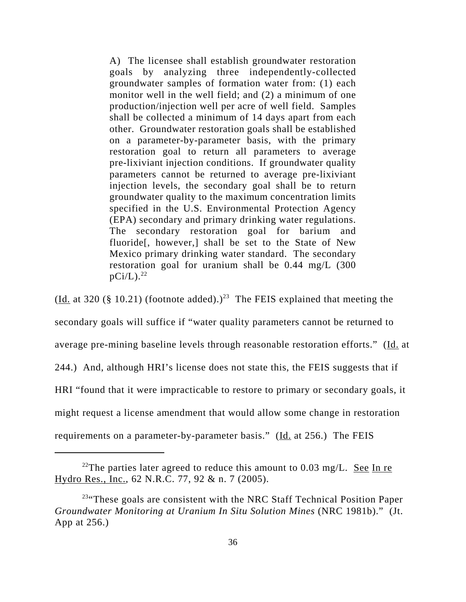A) The licensee shall establish groundwater restoration goals by analyzing three independently-collected groundwater samples of formation water from: (1) each monitor well in the well field; and (2) a minimum of one production/injection well per acre of well field. Samples shall be collected a minimum of 14 days apart from each other. Groundwater restoration goals shall be established on a parameter-by-parameter basis, with the primary restoration goal to return all parameters to average pre-lixiviant injection conditions. If groundwater quality parameters cannot be returned to average pre-lixiviant injection levels, the secondary goal shall be to return groundwater quality to the maximum concentration limits specified in the U.S. Environmental Protection Agency (EPA) secondary and primary drinking water regulations. The secondary restoration goal for barium and fluoride[, however,] shall be set to the State of New Mexico primary drinking water standard. The secondary restoration goal for uranium shall be 0.44 mg/L (300  $pCi/L$ ).<sup>22</sup>

(Id. at 320 (§ 10.21) (footnote added).)<sup>23</sup> The FEIS explained that meeting the secondary goals will suffice if "water quality parameters cannot be returned to average pre-mining baseline levels through reasonable restoration efforts." (Id. at 244.) And, although HRI's license does not state this, the FEIS suggests that if HRI "found that it were impracticable to restore to primary or secondary goals, it might request a license amendment that would allow some change in restoration requirements on a parameter-by-parameter basis." (Id. at 256.) The FEIS

<sup>&</sup>lt;sup>22</sup>The parties later agreed to reduce this amount to 0.03 mg/L. See In re Hydro Res., Inc., 62 N.R.C. 77, 92 & n. 7 (2005).

<sup>&</sup>lt;sup>23</sup>"These goals are consistent with the NRC Staff Technical Position Paper *Groundwater Monitoring at Uranium In Situ Solution Mines* (NRC 1981b)." (Jt. App at 256.)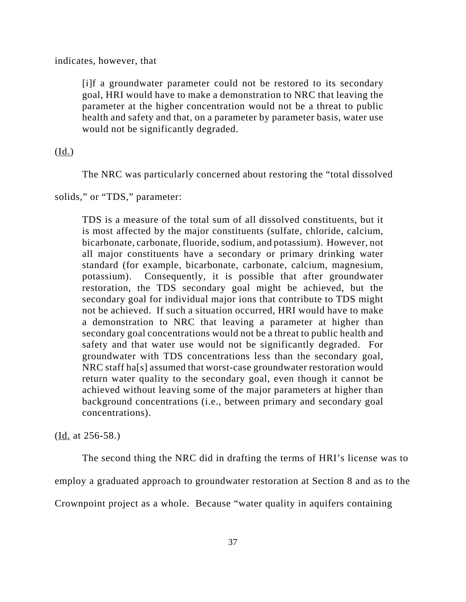indicates, however, that

[i]f a groundwater parameter could not be restored to its secondary goal, HRI would have to make a demonstration to NRC that leaving the parameter at the higher concentration would not be a threat to public health and safety and that, on a parameter by parameter basis, water use would not be significantly degraded.

(Id.)

The NRC was particularly concerned about restoring the "total dissolved

solids," or "TDS," parameter:

TDS is a measure of the total sum of all dissolved constituents, but it is most affected by the major constituents (sulfate, chloride, calcium, bicarbonate, carbonate, fluoride, sodium, and potassium). However, not all major constituents have a secondary or primary drinking water standard (for example, bicarbonate, carbonate, calcium, magnesium, potassium). Consequently, it is possible that after groundwater restoration, the TDS secondary goal might be achieved, but the secondary goal for individual major ions that contribute to TDS might not be achieved. If such a situation occurred, HRI would have to make a demonstration to NRC that leaving a parameter at higher than secondary goal concentrations would not be a threat to public health and safety and that water use would not be significantly degraded. For groundwater with TDS concentrations less than the secondary goal, NRC staff ha[s] assumed that worst-case groundwater restoration would return water quality to the secondary goal, even though it cannot be achieved without leaving some of the major parameters at higher than background concentrations (i.e., between primary and secondary goal concentrations).

(Id. at 256-58.)

The second thing the NRC did in drafting the terms of HRI's license was to employ a graduated approach to groundwater restoration at Section 8 and as to the Crownpoint project as a whole. Because "water quality in aquifers containing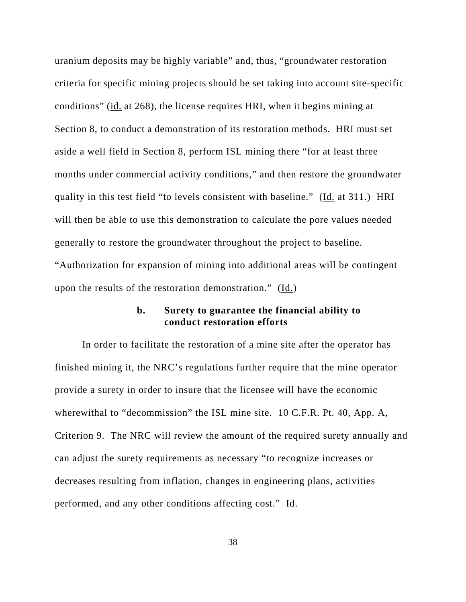uranium deposits may be highly variable" and, thus, "groundwater restoration criteria for specific mining projects should be set taking into account site-specific conditions" (id. at 268), the license requires HRI, when it begins mining at Section 8, to conduct a demonstration of its restoration methods. HRI must set aside a well field in Section 8, perform ISL mining there "for at least three months under commercial activity conditions," and then restore the groundwater quality in this test field "to levels consistent with baseline." (Id. at 311.) HRI will then be able to use this demonstration to calculate the pore values needed generally to restore the groundwater throughout the project to baseline. "Authorization for expansion of mining into additional areas will be contingent

upon the results of the restoration demonstration."  $(\underline{Id.})$ 

## **b. Surety to guarantee the financial ability to conduct restoration efforts**

In order to facilitate the restoration of a mine site after the operator has finished mining it, the NRC's regulations further require that the mine operator provide a surety in order to insure that the licensee will have the economic wherewithal to "decommission" the ISL mine site. 10 C.F.R. Pt. 40, App. A, Criterion 9. The NRC will review the amount of the required surety annually and can adjust the surety requirements as necessary "to recognize increases or decreases resulting from inflation, changes in engineering plans, activities performed, and any other conditions affecting cost." Id.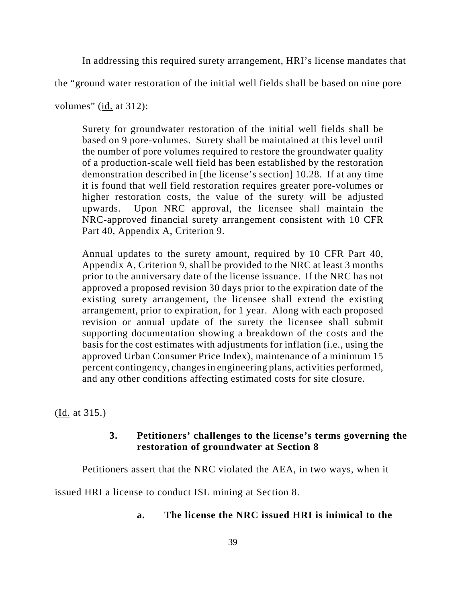In addressing this required surety arrangement, HRI's license mandates that

the "ground water restoration of the initial well fields shall be based on nine pore

volumes" (id. at 312):

Surety for groundwater restoration of the initial well fields shall be based on 9 pore-volumes. Surety shall be maintained at this level until the number of pore volumes required to restore the groundwater quality of a production-scale well field has been established by the restoration demonstration described in [the license's section] 10.28. If at any time it is found that well field restoration requires greater pore-volumes or higher restoration costs, the value of the surety will be adjusted upwards. Upon NRC approval, the licensee shall maintain the NRC-approved financial surety arrangement consistent with 10 CFR Part 40, Appendix A, Criterion 9.

Annual updates to the surety amount, required by 10 CFR Part 40, Appendix A, Criterion 9, shall be provided to the NRC at least 3 months prior to the anniversary date of the license issuance. If the NRC has not approved a proposed revision 30 days prior to the expiration date of the existing surety arrangement, the licensee shall extend the existing arrangement, prior to expiration, for 1 year. Along with each proposed revision or annual update of the surety the licensee shall submit supporting documentation showing a breakdown of the costs and the basis for the cost estimates with adjustments for inflation (i.e., using the approved Urban Consumer Price Index), maintenance of a minimum 15 percent contingency, changes in engineering plans, activities performed, and any other conditions affecting estimated costs for site closure.

(Id. at 315.)

### **3. Petitioners' challenges to the license's terms governing the restoration of groundwater at Section 8**

Petitioners assert that the NRC violated the AEA, in two ways, when it

issued HRI a license to conduct ISL mining at Section 8.

# **a. The license the NRC issued HRI is inimical to the**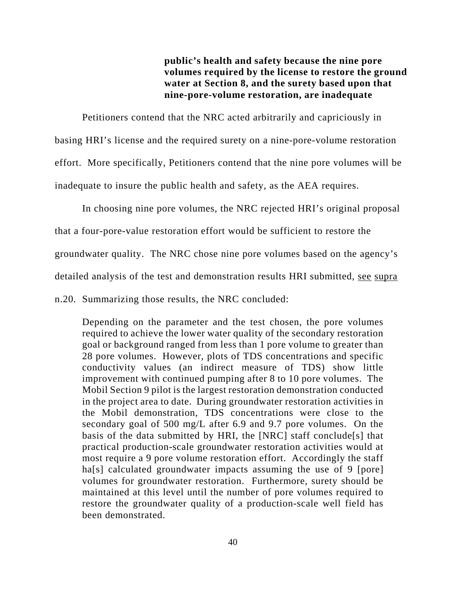**public's health and safety because the nine pore volumes required by the license to restore the ground water at Section 8, and the surety based upon that nine-pore-volume restoration, are inadequate** 

Petitioners contend that the NRC acted arbitrarily and capriciously in basing HRI's license and the required surety on a nine-pore-volume restoration effort. More specifically, Petitioners contend that the nine pore volumes will be inadequate to insure the public health and safety, as the AEA requires.

In choosing nine pore volumes, the NRC rejected HRI's original proposal that a four-pore-value restoration effort would be sufficient to restore the groundwater quality. The NRC chose nine pore volumes based on the agency's detailed analysis of the test and demonstration results HRI submitted, see supra

n.20. Summarizing those results, the NRC concluded:

Depending on the parameter and the test chosen, the pore volumes required to achieve the lower water quality of the secondary restoration goal or background ranged from less than 1 pore volume to greater than 28 pore volumes. However, plots of TDS concentrations and specific conductivity values (an indirect measure of TDS) show little improvement with continued pumping after 8 to 10 pore volumes. The Mobil Section 9 pilot is the largest restoration demonstration conducted in the project area to date. During groundwater restoration activities in the Mobil demonstration, TDS concentrations were close to the secondary goal of 500 mg/L after 6.9 and 9.7 pore volumes. On the basis of the data submitted by HRI, the [NRC] staff conclude[s] that practical production-scale groundwater restoration activities would at most require a 9 pore volume restoration effort. Accordingly the staff ha<sup>[s]</sup> calculated groundwater impacts assuming the use of 9 [pore] volumes for groundwater restoration. Furthermore, surety should be maintained at this level until the number of pore volumes required to restore the groundwater quality of a production-scale well field has been demonstrated.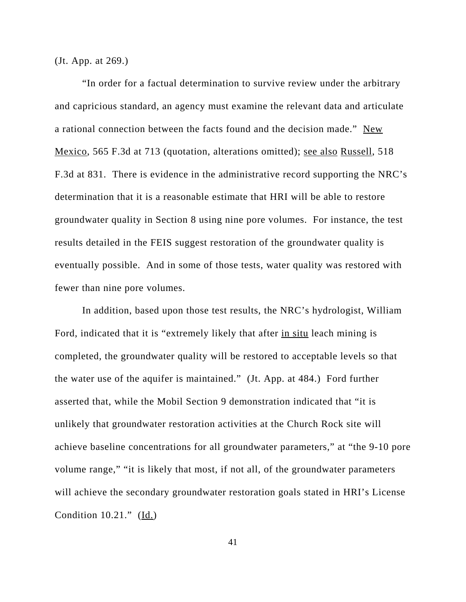(Jt. App. at 269.)

"In order for a factual determination to survive review under the arbitrary and capricious standard, an agency must examine the relevant data and articulate a rational connection between the facts found and the decision made." New Mexico, 565 F.3d at 713 (quotation, alterations omitted); see also Russell, 518 F.3d at 831. There is evidence in the administrative record supporting the NRC's determination that it is a reasonable estimate that HRI will be able to restore groundwater quality in Section 8 using nine pore volumes. For instance, the test results detailed in the FEIS suggest restoration of the groundwater quality is eventually possible. And in some of those tests, water quality was restored with fewer than nine pore volumes.

In addition, based upon those test results, the NRC's hydrologist, William Ford, indicated that it is "extremely likely that after in situ leach mining is completed, the groundwater quality will be restored to acceptable levels so that the water use of the aquifer is maintained." (Jt. App. at 484.)Ford further asserted that, while the Mobil Section 9 demonstration indicated that "it is unlikely that groundwater restoration activities at the Church Rock site will achieve baseline concentrations for all groundwater parameters," at "the 9-10 pore volume range," "it is likely that most, if not all, of the groundwater parameters will achieve the secondary groundwater restoration goals stated in HRI's License Condition  $10.21$ ." (Id.)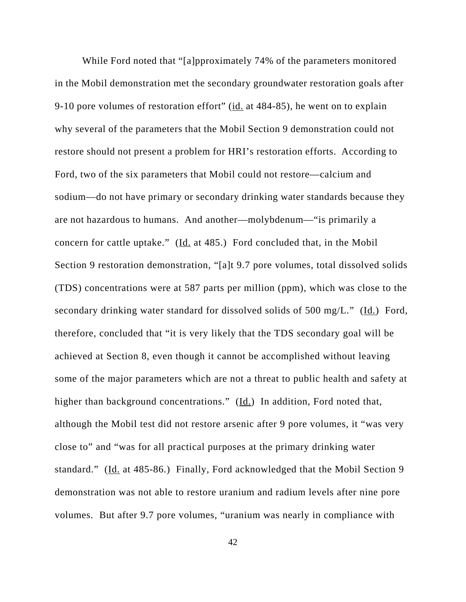While Ford noted that "[a]pproximately 74% of the parameters monitored in the Mobil demonstration met the secondary groundwater restoration goals after 9-10 pore volumes of restoration effort" (id. at 484-85), he went on to explain why several of the parameters that the Mobil Section 9 demonstration could not restore should not present a problem for HRI's restoration efforts. According to Ford, two of the six parameters that Mobil could not restore—calcium and sodium—do not have primary or secondary drinking water standards because they are not hazardous to humans. And another—molybdenum—"is primarily a concern for cattle uptake." (Id. at 485.) Ford concluded that, in the Mobil Section 9 restoration demonstration, "[a]t 9.7 pore volumes, total dissolved solids (TDS) concentrations were at 587 parts per million (ppm), which was close to the secondary drinking water standard for dissolved solids of 500 mg/L." (Id.) Ford, therefore, concluded that "it is very likely that the TDS secondary goal will be achieved at Section 8, even though it cannot be accomplished without leaving some of the major parameters which are not a threat to public health and safety at higher than background concentrations."  $(\underline{Id.})$  In addition, Ford noted that, although the Mobil test did not restore arsenic after 9 pore volumes, it "was very close to" and "was for all practical purposes at the primary drinking water standard." (Id. at 485-86.) Finally, Ford acknowledged that the Mobil Section 9 demonstration was not able to restore uranium and radium levels after nine pore volumes. But after 9.7 pore volumes, "uranium was nearly in compliance with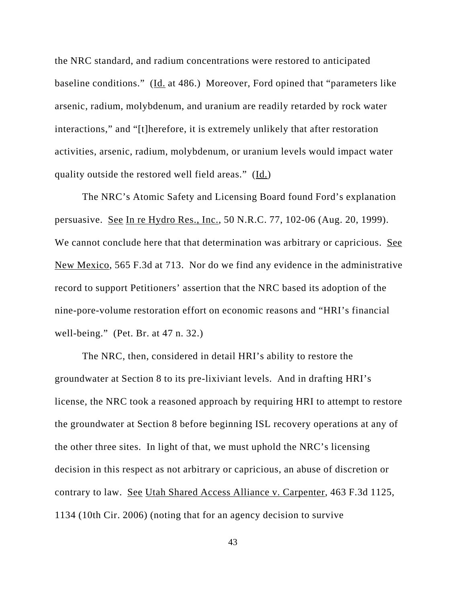the NRC standard, and radium concentrations were restored to anticipated baseline conditions." (Id. at 486.) Moreover, Ford opined that "parameters like arsenic, radium, molybdenum, and uranium are readily retarded by rock water interactions," and "[t]herefore, it is extremely unlikely that after restoration activities, arsenic, radium, molybdenum, or uranium levels would impact water quality outside the restored well field areas." (Id.)

The NRC's Atomic Safety and Licensing Board found Ford's explanation persuasive. See In re Hydro Res., Inc., 50 N.R.C. 77, 102-06 (Aug. 20, 1999). We cannot conclude here that that determination was arbitrary or capricious. See New Mexico, 565 F.3d at 713. Nor do we find any evidence in the administrative record to support Petitioners' assertion that the NRC based its adoption of the nine-pore-volume restoration effort on economic reasons and "HRI's financial well-being." (Pet. Br. at 47 n. 32.)

The NRC, then, considered in detail HRI's ability to restore the groundwater at Section 8 to its pre-lixiviant levels. And in drafting HRI's license, the NRC took a reasoned approach by requiring HRI to attempt to restore the groundwater at Section 8 before beginning ISL recovery operations at any of the other three sites. In light of that, we must uphold the NRC's licensing decision in this respect as not arbitrary or capricious, an abuse of discretion or contrary to law. See Utah Shared Access Alliance v. Carpenter, 463 F.3d 1125, 1134 (10th Cir. 2006) (noting that for an agency decision to survive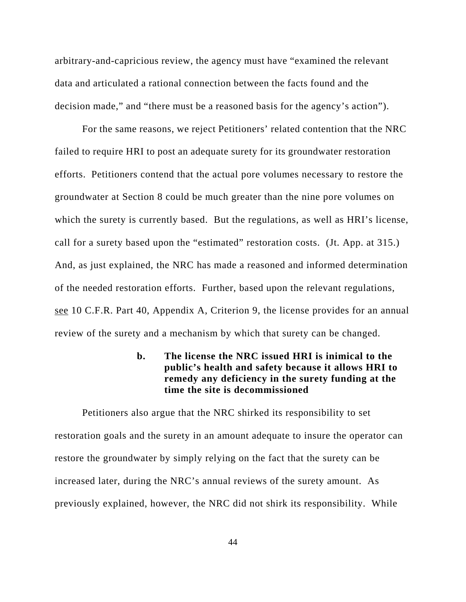arbitrary-and-capricious review, the agency must have "examined the relevant data and articulated a rational connection between the facts found and the decision made," and "there must be a reasoned basis for the agency's action").

For the same reasons, we reject Petitioners' related contention that the NRC failed to require HRI to post an adequate surety for its groundwater restoration efforts. Petitioners contend that the actual pore volumes necessary to restore the groundwater at Section 8 could be much greater than the nine pore volumes on which the surety is currently based. But the regulations, as well as HRI's license, call for a surety based upon the "estimated" restoration costs. (Jt. App. at 315.) And, as just explained, the NRC has made a reasoned and informed determination of the needed restoration efforts. Further, based upon the relevant regulations, see 10 C.F.R. Part 40, Appendix A, Criterion 9, the license provides for an annual review of the surety and a mechanism by which that surety can be changed.

# **b. The license the NRC issued HRI is inimical to the public's health and safety because it allows HRI to remedy any deficiency in the surety funding at the time the site is decommissioned**

Petitioners also argue that the NRC shirked its responsibility to set restoration goals and the surety in an amount adequate to insure the operator can restore the groundwater by simply relying on the fact that the surety can be increased later, during the NRC's annual reviews of the surety amount. As previously explained, however, the NRC did not shirk its responsibility. While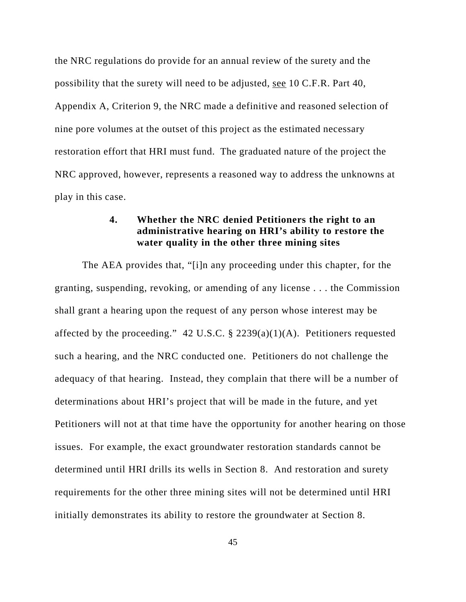the NRC regulations do provide for an annual review of the surety and the possibility that the surety will need to be adjusted, see 10 C.F.R. Part 40, Appendix A, Criterion 9, the NRC made a definitive and reasoned selection of nine pore volumes at the outset of this project as the estimated necessary restoration effort that HRI must fund. The graduated nature of the project the NRC approved, however, represents a reasoned way to address the unknowns at play in this case.

# **4. Whether the NRC denied Petitioners the right to an administrative hearing on HRI's ability to restore the water quality in the other three mining sites**

The AEA provides that, "[i]n any proceeding under this chapter, for the granting, suspending, revoking, or amending of any license . . . the Commission shall grant a hearing upon the request of any person whose interest may be affected by the proceeding." 42 U.S.C.  $\S$  2239(a)(1)(A). Petitioners requested such a hearing, and the NRC conducted one. Petitioners do not challenge the adequacy of that hearing. Instead, they complain that there will be a number of determinations about HRI's project that will be made in the future, and yet Petitioners will not at that time have the opportunity for another hearing on those issues. For example, the exact groundwater restoration standards cannot be determined until HRI drills its wells in Section 8. And restoration and surety requirements for the other three mining sites will not be determined until HRI initially demonstrates its ability to restore the groundwater at Section 8.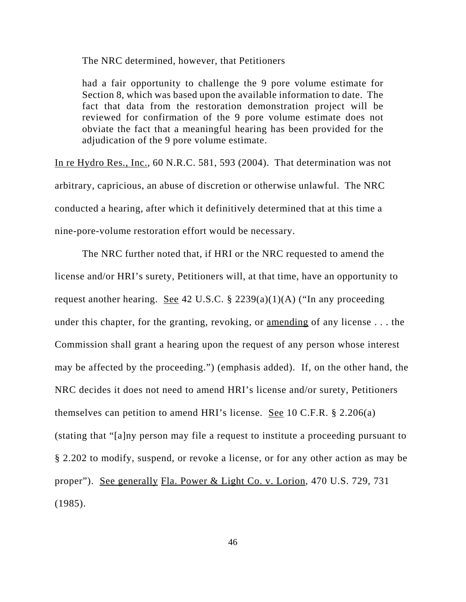The NRC determined, however, that Petitioners

had a fair opportunity to challenge the 9 pore volume estimate for Section 8, which was based upon the available information to date. The fact that data from the restoration demonstration project will be reviewed for confirmation of the 9 pore volume estimate does not obviate the fact that a meaningful hearing has been provided for the adjudication of the 9 pore volume estimate.

In re Hydro Res., Inc., 60 N.R.C. 581, 593 (2004). That determination was not arbitrary, capricious, an abuse of discretion or otherwise unlawful. The NRC conducted a hearing, after which it definitively determined that at this time a nine-pore-volume restoration effort would be necessary.

The NRC further noted that, if HRI or the NRC requested to amend the license and/or HRI's surety, Petitioners will, at that time, have an opportunity to request another hearing. See 42 U.S.C.  $\S$  2239(a)(1)(A) ("In any proceeding under this chapter, for the granting, revoking, or amending of any license . . . the Commission shall grant a hearing upon the request of any person whose interest may be affected by the proceeding.") (emphasis added). If, on the other hand, the NRC decides it does not need to amend HRI's license and/or surety, Petitioners themselves can petition to amend HRI's license. <u>See</u> 10 C.F.R.  $\S$  2.206(a) (stating that "[a]ny person may file a request to institute a proceeding pursuant to § 2.202 to modify, suspend, or revoke a license, or for any other action as may be proper"). See generally Fla. Power & Light Co. v. Lorion, 470 U.S. 729, 731 (1985).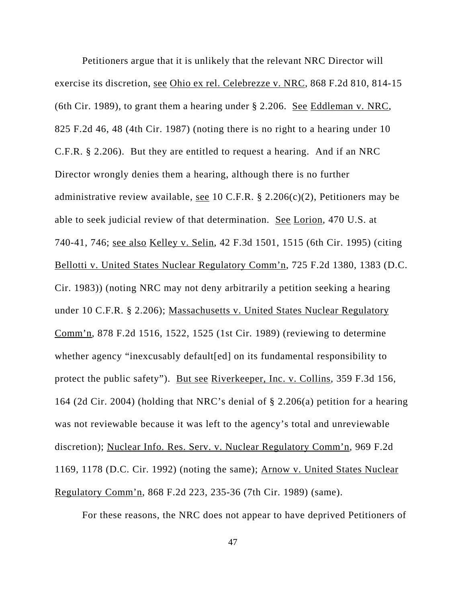Petitioners argue that it is unlikely that the relevant NRC Director will exercise its discretion, see Ohio ex rel. Celebrezze v. NRC, 868 F.2d 810, 814-15 (6th Cir. 1989), to grant them a hearing under § 2.206. See Eddleman v. NRC, 825 F.2d 46, 48 (4th Cir. 1987) (noting there is no right to a hearing under 10 C.F.R. § 2.206). But they are entitled to request a hearing. And if an NRC Director wrongly denies them a hearing, although there is no further administrative review available, <u>see</u> 10 C.F.R. § 2.206(c)(2), Petitioners may be able to seek judicial review of that determination. See Lorion, 470 U.S. at 740-41, 746; see also Kelley v. Selin, 42 F.3d 1501, 1515 (6th Cir. 1995) (citing Bellotti v. United States Nuclear Regulatory Comm'n, 725 F.2d 1380, 1383 (D.C. Cir. 1983)) (noting NRC may not deny arbitrarily a petition seeking a hearing under 10 C.F.R. § 2.206); Massachusetts v. United States Nuclear Regulatory Comm'n, 878 F.2d 1516, 1522, 1525 (1st Cir. 1989) (reviewing to determine whether agency "inexcusably default[ed] on its fundamental responsibility to protect the public safety"). But see Riverkeeper, Inc. v. Collins, 359 F.3d 156, 164 (2d Cir. 2004) (holding that NRC's denial of § 2.206(a) petition for a hearing was not reviewable because it was left to the agency's total and unreviewable discretion); Nuclear Info. Res. Serv. v. Nuclear Regulatory Comm'n, 969 F.2d 1169, 1178 (D.C. Cir. 1992) (noting the same); Arnow v. United States Nuclear Regulatory Comm'n, 868 F.2d 223, 235-36 (7th Cir. 1989) (same).

For these reasons, the NRC does not appear to have deprived Petitioners of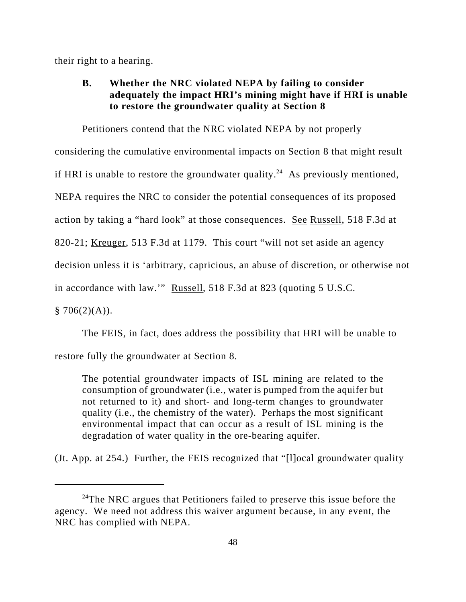their right to a hearing.

# **B. Whether the NRC violated NEPA by failing to consider adequately the impact HRI's mining might have if HRI is unable to restore the groundwater quality at Section 8**

Petitioners contend that the NRC violated NEPA by not properly considering the cumulative environmental impacts on Section 8 that might result if HRI is unable to restore the groundwater quality.<sup>24</sup> As previously mentioned, NEPA requires the NRC to consider the potential consequences of its proposed action by taking a "hard look" at those consequences. See Russell, 518 F.3d at 820-21; Kreuger, 513 F.3d at 1179. This court "will not set aside an agency decision unless it is 'arbitrary, capricious, an abuse of discretion, or otherwise not in accordance with law.'" Russell, 518 F.3d at 823 (quoting 5 U.S.C.  $$706(2)(A)).$ 

The FEIS, in fact, does address the possibility that HRI will be unable to

restore fully the groundwater at Section 8.

The potential groundwater impacts of ISL mining are related to the consumption of groundwater (i.e., water is pumped from the aquifer but not returned to it) and short- and long-term changes to groundwater quality (i.e., the chemistry of the water). Perhaps the most significant environmental impact that can occur as a result of ISL mining is the degradation of water quality in the ore-bearing aquifer.

(Jt. App. at 254.) Further, the FEIS recognized that "[l]ocal groundwater quality

 $24$ The NRC argues that Petitioners failed to preserve this issue before the agency. We need not address this waiver argument because, in any event, the NRC has complied with NEPA.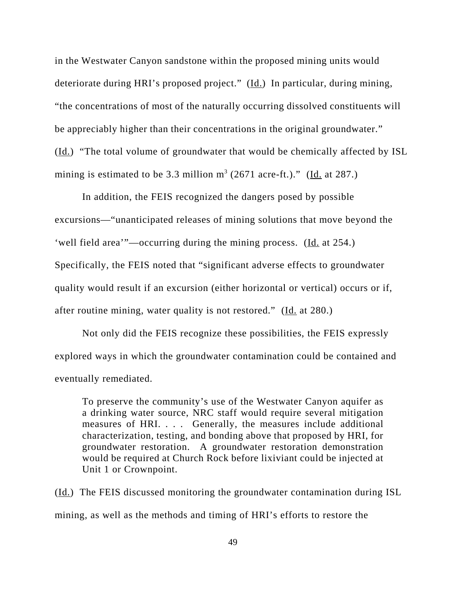in the Westwater Canyon sandstone within the proposed mining units would deteriorate during HRI's proposed project." (Id.) In particular, during mining, "the concentrations of most of the naturally occurring dissolved constituents will be appreciably higher than their concentrations in the original groundwater." (Id.)"The total volume of groundwater that would be chemically affected by ISL mining is estimated to be 3.3 million  $m^3$  (2671 acre-ft.)." (Id. at 287.)

In addition, the FEIS recognized the dangers posed by possible excursions—"unanticipated releases of mining solutions that move beyond the 'well field area'"—occurring during the mining process. (Id. at 254.) Specifically, the FEIS noted that "significant adverse effects to groundwater quality would result if an excursion (either horizontal or vertical) occurs or if, after routine mining, water quality is not restored." (Id. at 280.)

Not only did the FEIS recognize these possibilities, the FEIS expressly explored ways in which the groundwater contamination could be contained and eventually remediated.

To preserve the community's use of the Westwater Canyon aquifer as a drinking water source, NRC staff would require several mitigation measures of HRI. . . . Generally, the measures include additional characterization, testing, and bonding above that proposed by HRI, for groundwater restoration. A groundwater restoration demonstration would be required at Church Rock before lixiviant could be injected at Unit 1 or Crownpoint.

(Id.) The FEIS discussed monitoring the groundwater contamination during ISL mining, as well as the methods and timing of HRI's efforts to restore the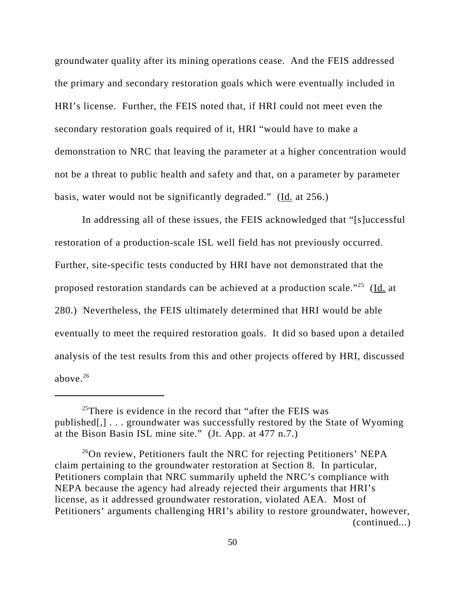groundwater quality after its mining operations cease. And the FEIS addressed the primary and secondary restoration goals which were eventually included in HRI's license. Further, the FEIS noted that, if HRI could not meet even the secondary restoration goals required of it, HRI "would have to make a demonstration to NRC that leaving the parameter at a higher concentration would not be a threat to public health and safety and that, on a parameter by parameter basis, water would not be significantly degraded." (Id. at 256.)

In addressing all of these issues, the FEIS acknowledged that "[s]uccessful restoration of a production-scale ISL well field has not previously occurred. Further, site-specific tests conducted by HRI have not demonstrated that the proposed restoration standards can be achieved at a production scale."<sup>25</sup> (Id. at 280.) Nevertheless, the FEIS ultimately determined that HRI would be able eventually to meet the required restoration goals. It did so based upon a detailed analysis of the test results from this and other projects offered by HRI, discussed above. $26$ 

 $25$ There is evidence in the record that "after the FEIS was published[,] . . . groundwater was successfully restored by the State of Wyoming at the Bison Basin ISL mine site." (Jt. App. at 477 n.7.)

 $^{26}$ On review, Petitioners fault the NRC for rejecting Petitioners' NEPA claim pertaining to the groundwater restoration at Section 8. In particular, Petitioners complain that NRC summarily upheld the NRC's compliance with NEPA because the agency had already rejected their arguments that HRI's license, as it addressed groundwater restoration, violated AEA. Most of Petitioners' arguments challenging HRI's ability to restore groundwater, however, (continued...)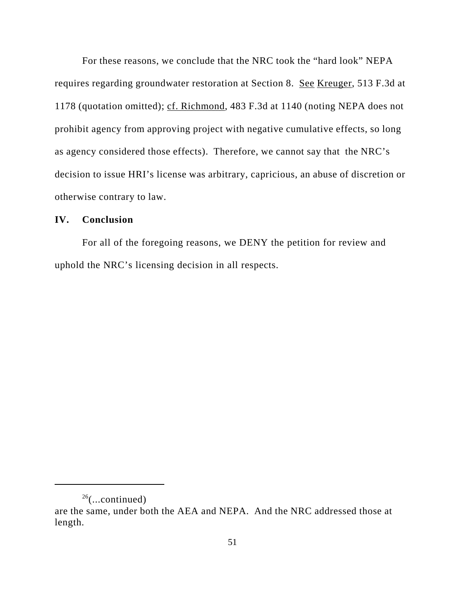For these reasons, we conclude that the NRC took the "hard look" NEPA requires regarding groundwater restoration at Section 8. See Kreuger, 513 F.3d at 1178 (quotation omitted); cf. Richmond, 483 F.3d at 1140 (noting NEPA does not prohibit agency from approving project with negative cumulative effects, so long as agency considered those effects). Therefore, we cannot say that the NRC's decision to issue HRI's license was arbitrary, capricious, an abuse of discretion or otherwise contrary to law.

### **IV. Conclusion**

For all of the foregoing reasons, we DENY the petition for review and uphold the NRC's licensing decision in all respects.

 $26$ (...continued)

are the same, under both the AEA and NEPA. And the NRC addressed those at length.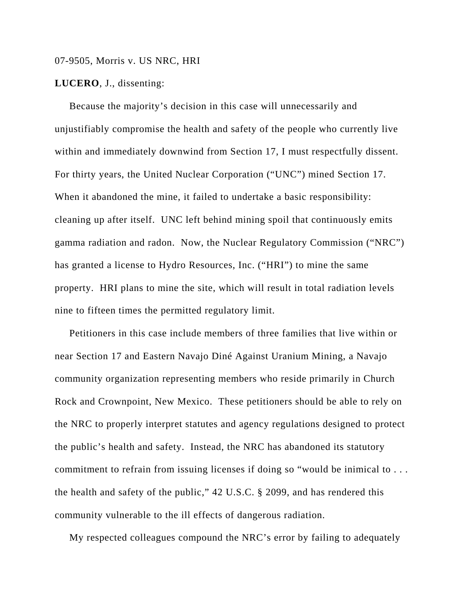### 07-9505, Morris v. US NRC, HRI

#### **LUCERO**, J., dissenting:

Because the majority's decision in this case will unnecessarily and unjustifiably compromise the health and safety of the people who currently live within and immediately downwind from Section 17, I must respectfully dissent. For thirty years, the United Nuclear Corporation ("UNC") mined Section 17. When it abandoned the mine, it failed to undertake a basic responsibility: cleaning up after itself. UNC left behind mining spoil that continuously emits gamma radiation and radon. Now, the Nuclear Regulatory Commission ("NRC") has granted a license to Hydro Resources, Inc. ("HRI") to mine the same property. HRI plans to mine the site, which will result in total radiation levels nine to fifteen times the permitted regulatory limit.

 Petitioners in this case include members of three families that live within or near Section 17 and Eastern Navajo Diné Against Uranium Mining, a Navajo community organization representing members who reside primarily in Church Rock and Crownpoint, New Mexico. These petitioners should be able to rely on the NRC to properly interpret statutes and agency regulations designed to protect the public's health and safety. Instead, the NRC has abandoned its statutory commitment to refrain from issuing licenses if doing so "would be inimical to . . . the health and safety of the public," 42 U.S.C. § 2099, and has rendered this community vulnerable to the ill effects of dangerous radiation.

My respected colleagues compound the NRC's error by failing to adequately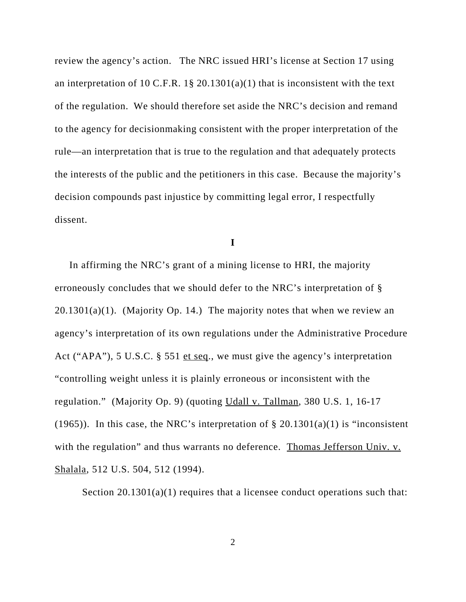review the agency's action. The NRC issued HRI's license at Section 17 using an interpretation of 10 C.F.R. 1§ 20.1301(a)(1) that is inconsistent with the text of the regulation. We should therefore set aside the NRC's decision and remand to the agency for decisionmaking consistent with the proper interpretation of the rule—an interpretation that is true to the regulation and that adequately protects the interests of the public and the petitioners in this case. Because the majority's decision compounds past injustice by committing legal error, I respectfully dissent.

**I**

 In affirming the NRC's grant of a mining license to HRI, the majority erroneously concludes that we should defer to the NRC's interpretation of §  $20.1301(a)(1)$ . (Majority Op. 14.) The majority notes that when we review an agency's interpretation of its own regulations under the Administrative Procedure Act ("APA"), 5 U.S.C. § 551 et seq., we must give the agency's interpretation "controlling weight unless it is plainly erroneous or inconsistent with the regulation." (Majority Op. 9) (quoting Udall v. Tallman, 380 U.S. 1, 16-17 (1965)). In this case, the NRC's interpretation of  $\S 20.1301(a)(1)$  is "inconsistent with the regulation" and thus warrants no deference. Thomas Jefferson Univ. v. Shalala, 512 U.S. 504, 512 (1994).

Section 20.1301(a)(1) requires that a licensee conduct operations such that: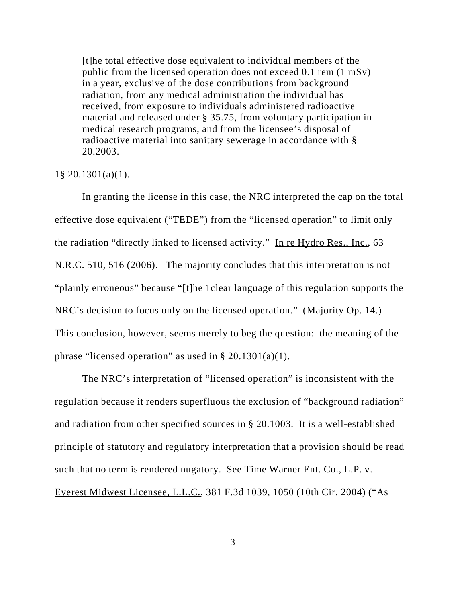[t]he total effective dose equivalent to individual members of the public from the licensed operation does not exceed 0.1 rem (1 mSv) in a year, exclusive of the dose contributions from background radiation, from any medical administration the individual has received, from exposure to individuals administered radioactive material and released under § 35.75, from voluntary participation in medical research programs, and from the licensee's disposal of radioactive material into sanitary sewerage in accordance with § 20.2003.

#### 1§ 20.1301(a)(1).

In granting the license in this case, the NRC interpreted the cap on the total effective dose equivalent ("TEDE") from the "licensed operation" to limit only the radiation "directly linked to licensed activity." In re Hydro Res., Inc., 63 N.R.C. 510, 516 (2006). The majority concludes that this interpretation is not "plainly erroneous" because "[t]he 1clear language of this regulation supports the NRC's decision to focus only on the licensed operation." (Majority Op. 14.) This conclusion, however, seems merely to beg the question: the meaning of the phrase "licensed operation" as used in  $\S 20.1301(a)(1)$ .

The NRC's interpretation of "licensed operation" is inconsistent with the regulation because it renders superfluous the exclusion of "background radiation" and radiation from other specified sources in § 20.1003. It is a well-established principle of statutory and regulatory interpretation that a provision should be read such that no term is rendered nugatory. See Time Warner Ent. Co., L.P. v. Everest Midwest Licensee, L.L.C., 381 F.3d 1039, 1050 (10th Cir. 2004) ("As

3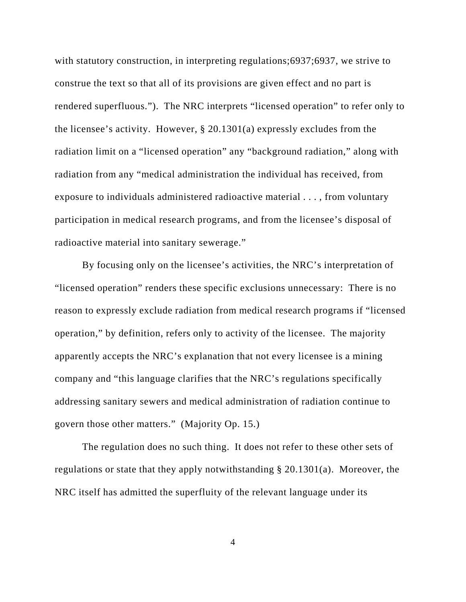with statutory construction, in interpreting regulations;6937;6937, we strive to construe the text so that all of its provisions are given effect and no part is rendered superfluous."). The NRC interprets "licensed operation" to refer only to the licensee's activity. However, § 20.1301(a) expressly excludes from the radiation limit on a "licensed operation" any "background radiation," along with radiation from any "medical administration the individual has received, from exposure to individuals administered radioactive material . . . , from voluntary participation in medical research programs, and from the licensee's disposal of radioactive material into sanitary sewerage."

By focusing only on the licensee's activities, the NRC's interpretation of "licensed operation" renders these specific exclusions unnecessary: There is no reason to expressly exclude radiation from medical research programs if "licensed operation," by definition, refers only to activity of the licensee. The majority apparently accepts the NRC's explanation that not every licensee is a mining company and "this language clarifies that the NRC's regulations specifically addressing sanitary sewers and medical administration of radiation continue to govern those other matters." (Majority Op. 15.)

The regulation does no such thing. It does not refer to these other sets of regulations or state that they apply notwithstanding § 20.1301(a). Moreover, the NRC itself has admitted the superfluity of the relevant language under its

4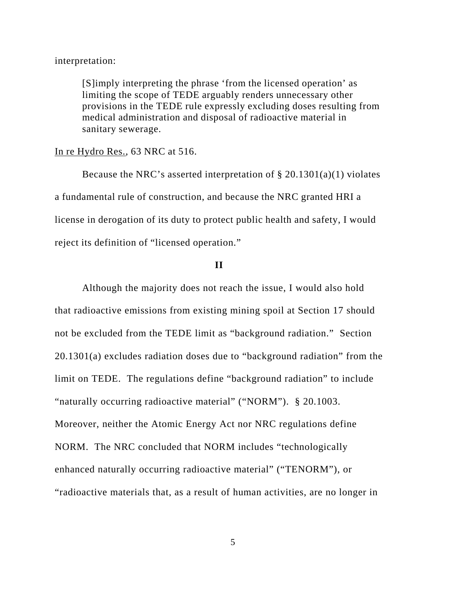#### interpretation:

[S]imply interpreting the phrase 'from the licensed operation' as limiting the scope of TEDE arguably renders unnecessary other provisions in the TEDE rule expressly excluding doses resulting from medical administration and disposal of radioactive material in sanitary sewerage.

#### In re Hydro Res., 63 NRC at 516.

Because the NRC's asserted interpretation of § 20.1301(a)(1) violates a fundamental rule of construction, and because the NRC granted HRI a license in derogation of its duty to protect public health and safety, I would reject its definition of "licensed operation."

### **II**

Although the majority does not reach the issue, I would also hold that radioactive emissions from existing mining spoil at Section 17 should not be excluded from the TEDE limit as "background radiation." Section 20.1301(a) excludes radiation doses due to "background radiation" from the limit on TEDE. The regulations define "background radiation" to include "naturally occurring radioactive material" ("NORM"). § 20.1003. Moreover, neither the Atomic Energy Act nor NRC regulations define NORM. The NRC concluded that NORM includes "technologically enhanced naturally occurring radioactive material" ("TENORM"), or "radioactive materials that, as a result of human activities, are no longer in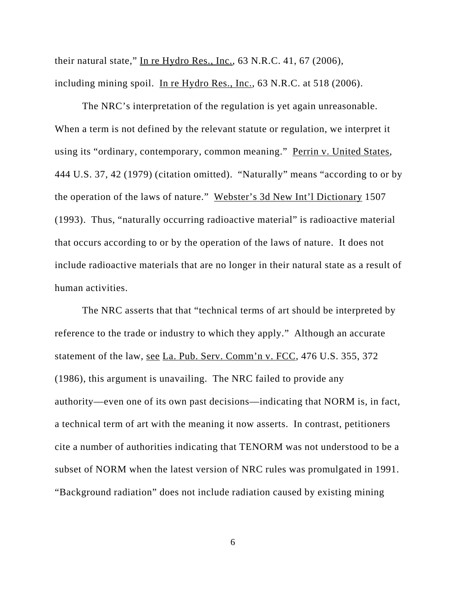their natural state," In re Hydro Res., Inc., 63 N.R.C. 41, 67 (2006), including mining spoil. In re Hydro Res., Inc., 63 N.R.C. at 518 (2006).

The NRC's interpretation of the regulation is yet again unreasonable. When a term is not defined by the relevant statute or regulation, we interpret it using its "ordinary, contemporary, common meaning." Perrin v. United States, 444 U.S. 37, 42 (1979) (citation omitted). "Naturally" means "according to or by the operation of the laws of nature." Webster's 3d New Int'l Dictionary 1507 (1993). Thus, "naturally occurring radioactive material" is radioactive material that occurs according to or by the operation of the laws of nature. It does not include radioactive materials that are no longer in their natural state as a result of human activities.

The NRC asserts that that "technical terms of art should be interpreted by reference to the trade or industry to which they apply." Although an accurate statement of the law, see La. Pub. Serv. Comm'n v. FCC, 476 U.S. 355, 372 (1986), this argument is unavailing. The NRC failed to provide any authority—even one of its own past decisions—indicating that NORM is, in fact, a technical term of art with the meaning it now asserts. In contrast, petitioners cite a number of authorities indicating that TENORM was not understood to be a subset of NORM when the latest version of NRC rules was promulgated in 1991. "Background radiation" does not include radiation caused by existing mining

6